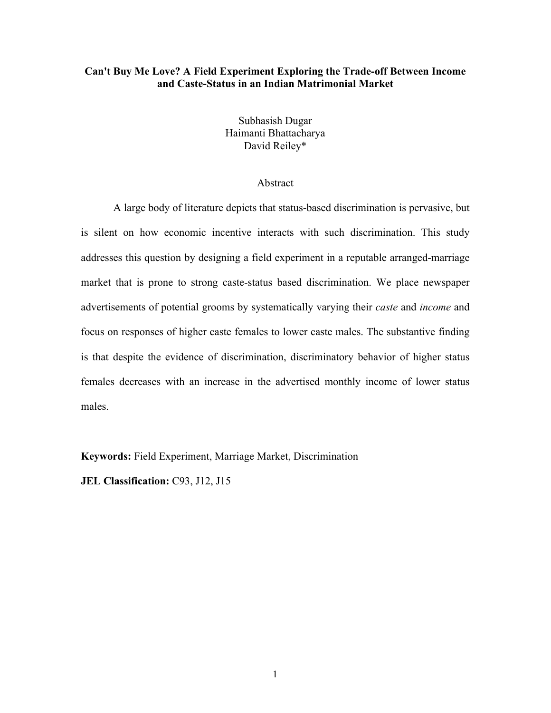### **Can't Buy Me Love? A Field Experiment Exploring the Trade-off Between Income and Caste-Status in an Indian Matrimonial Market**

Subhasish Dugar Haimanti Bhattacharya David Reiley\*

#### Abstract

A large body of literature depicts that status-based discrimination is pervasive, but is silent on how economic incentive interacts with such discrimination. This study addresses this question by designing a field experiment in a reputable arranged-marriage market that is prone to strong caste-status based discrimination. We place newspaper advertisements of potential grooms by systematically varying their *caste* and *income* and focus on responses of higher caste females to lower caste males. The substantive finding is that despite the evidence of discrimination, discriminatory behavior of higher status females decreases with an increase in the advertised monthly income of lower status males.

**Keywords:** Field Experiment, Marriage Market, Discrimination

**JEL Classification:** C93, J12, J15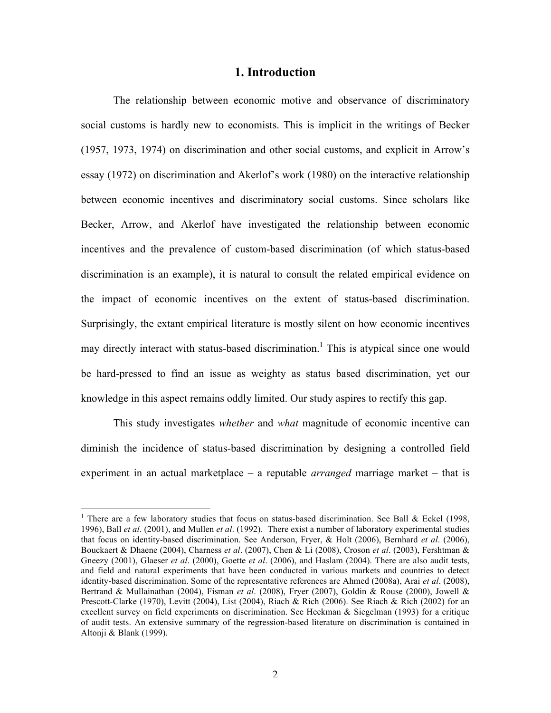## **1. Introduction**

The relationship between economic motive and observance of discriminatory social customs is hardly new to economists. This is implicit in the writings of Becker (1957, 1973, 1974) on discrimination and other social customs, and explicit in Arrow's essay (1972) on discrimination and Akerlof's work (1980) on the interactive relationship between economic incentives and discriminatory social customs. Since scholars like Becker, Arrow, and Akerlof have investigated the relationship between economic incentives and the prevalence of custom-based discrimination (of which status-based discrimination is an example), it is natural to consult the related empirical evidence on the impact of economic incentives on the extent of status-based discrimination. Surprisingly, the extant empirical literature is mostly silent on how economic incentives may directly interact with status-based discrimination.<sup>1</sup> This is atypical since one would be hard-pressed to find an issue as weighty as status based discrimination, yet our knowledge in this aspect remains oddly limited. Our study aspires to rectify this gap.

This study investigates *whether* and *what* magnitude of economic incentive can diminish the incidence of status-based discrimination by designing a controlled field experiment in an actual marketplace – a reputable *arranged* marriage market – that is

<sup>&</sup>lt;sup>1</sup> There are a few laboratory studies that focus on status-based discrimination. See Ball & Eckel (1998, 1996), Ball *et al*. (2001), and Mullen *et al*. (1992). There exist a number of laboratory experimental studies that focus on identity-based discrimination. See Anderson, Fryer, & Holt (2006), Bernhard *et al*. (2006), Bouckaert & Dhaene (2004), Charness *et al*. (2007), Chen & Li (2008), Croson *et al*. (2003), Fershtman & Gneezy (2001), Glaeser *et al*. (2000), Goette *et al*. (2006), and Haslam (2004). There are also audit tests, and field and natural experiments that have been conducted in various markets and countries to detect identity-based discrimination. Some of the representative references are Ahmed (2008a), Arai *et al*. (2008), Bertrand & Mullainathan (2004), Fisman *et al*. (2008), Fryer (2007), Goldin & Rouse (2000), Jowell & Prescott-Clarke (1970), Levitt (2004), List (2004), Riach & Rich (2006). See Riach & Rich (2002) for an excellent survey on field experiments on discrimination. See Heckman & Siegelman (1993) for a critique of audit tests. An extensive summary of the regression-based literature on discrimination is contained in Altonji & Blank (1999).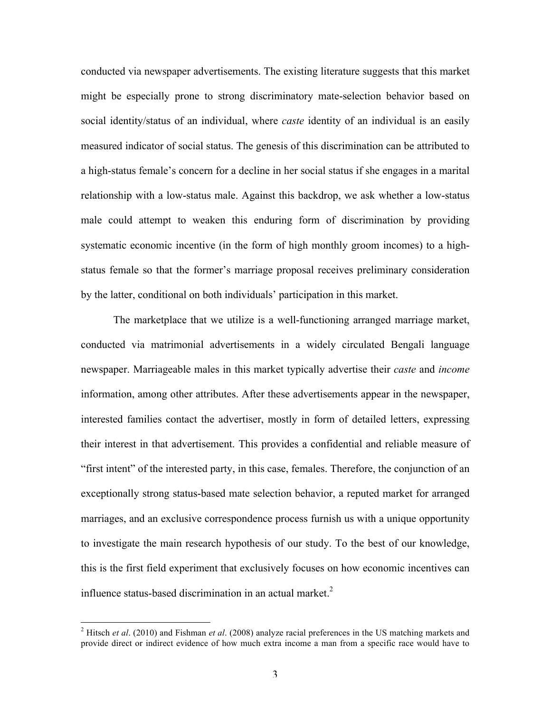conducted via newspaper advertisements. The existing literature suggests that this market might be especially prone to strong discriminatory mate-selection behavior based on social identity/status of an individual, where *caste* identity of an individual is an easily measured indicator of social status. The genesis of this discrimination can be attributed to a high-status female's concern for a decline in her social status if she engages in a marital relationship with a low-status male. Against this backdrop, we ask whether a low-status male could attempt to weaken this enduring form of discrimination by providing systematic economic incentive (in the form of high monthly groom incomes) to a highstatus female so that the former's marriage proposal receives preliminary consideration by the latter, conditional on both individuals' participation in this market.

The marketplace that we utilize is a well-functioning arranged marriage market, conducted via matrimonial advertisements in a widely circulated Bengali language newspaper. Marriageable males in this market typically advertise their *caste* and *income* information, among other attributes. After these advertisements appear in the newspaper, interested families contact the advertiser, mostly in form of detailed letters, expressing their interest in that advertisement. This provides a confidential and reliable measure of "first intent" of the interested party, in this case, females. Therefore, the conjunction of an exceptionally strong status-based mate selection behavior, a reputed market for arranged marriages, and an exclusive correspondence process furnish us with a unique opportunity to investigate the main research hypothesis of our study. To the best of our knowledge, this is the first field experiment that exclusively focuses on how economic incentives can influence status-based discrimination in an actual market. $2$ 

 $\frac{1}{2}$ <sup>2</sup> Hitsch *et al.* (2010) and Fishman *et al.* (2008) analyze racial preferences in the US matching markets and provide direct or indirect evidence of how much extra income a man from a specific race would have to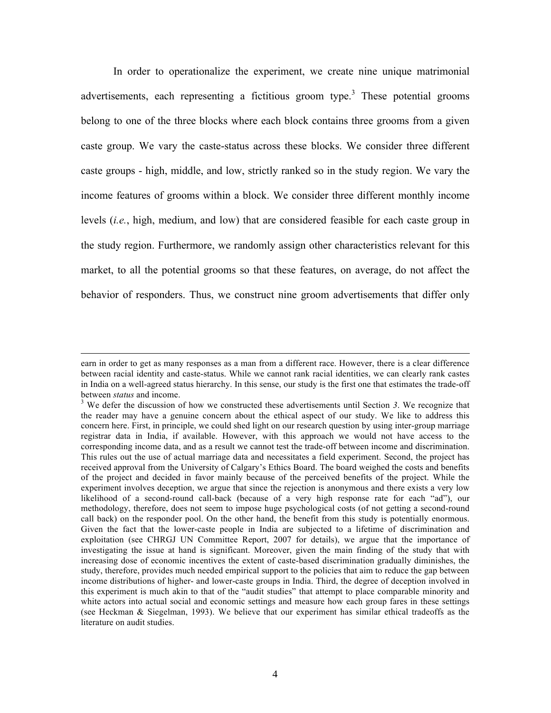In order to operationalize the experiment, we create nine unique matrimonial advertisements, each representing a fictitious groom type.<sup>3</sup> These potential grooms belong to one of the three blocks where each block contains three grooms from a given caste group. We vary the caste-status across these blocks. We consider three different caste groups - high, middle, and low, strictly ranked so in the study region. We vary the income features of grooms within a block. We consider three different monthly income levels (*i.e.*, high, medium, and low) that are considered feasible for each caste group in the study region. Furthermore, we randomly assign other characteristics relevant for this market, to all the potential grooms so that these features, on average, do not affect the behavior of responders. Thus, we construct nine groom advertisements that differ only

earn in order to get as many responses as a man from a different race. However, there is a clear difference between racial identity and caste-status. While we cannot rank racial identities, we can clearly rank castes in India on a well-agreed status hierarchy. In this sense, our study is the first one that estimates the trade-off between *status* and income.

We defer the discussion of how we constructed these advertisements until Section *3*. We recognize that the reader may have a genuine concern about the ethical aspect of our study. We like to address this concern here. First, in principle, we could shed light on our research question by using inter-group marriage registrar data in India, if available. However, with this approach we would not have access to the corresponding income data, and as a result we cannot test the trade-off between income and discrimination. This rules out the use of actual marriage data and necessitates a field experiment. Second, the project has received approval from the University of Calgary's Ethics Board. The board weighed the costs and benefits of the project and decided in favor mainly because of the perceived benefits of the project. While the experiment involves deception, we argue that since the rejection is anonymous and there exists a very low likelihood of a second-round call-back (because of a very high response rate for each "ad"), our methodology, therefore, does not seem to impose huge psychological costs (of not getting a second-round call back) on the responder pool. On the other hand, the benefit from this study is potentially enormous. Given the fact that the lower-caste people in India are subjected to a lifetime of discrimination and exploitation (see CHRGJ UN Committee Report, 2007 for details), we argue that the importance of investigating the issue at hand is significant. Moreover, given the main finding of the study that with increasing dose of economic incentives the extent of caste-based discrimination gradually diminishes, the study, therefore, provides much needed empirical support to the policies that aim to reduce the gap between income distributions of higher- and lower-caste groups in India. Third, the degree of deception involved in this experiment is much akin to that of the "audit studies" that attempt to place comparable minority and white actors into actual social and economic settings and measure how each group fares in these settings (see Heckman & Siegelman, 1993). We believe that our experiment has similar ethical tradeoffs as the literature on audit studies.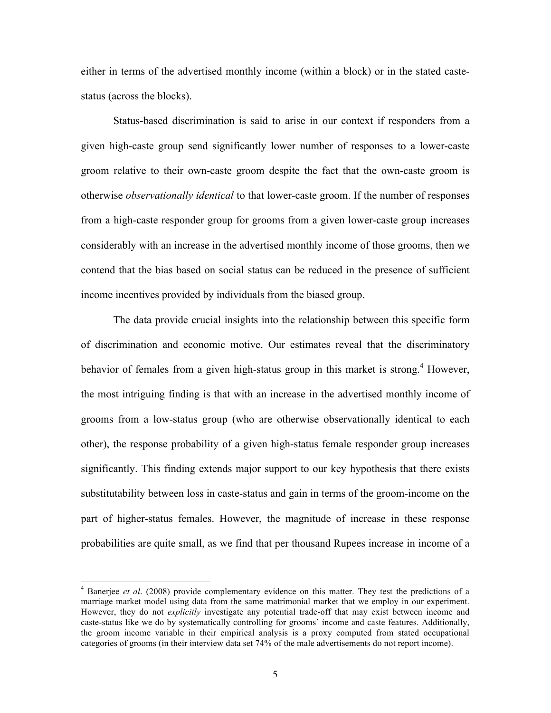either in terms of the advertised monthly income (within a block) or in the stated castestatus (across the blocks).

Status-based discrimination is said to arise in our context if responders from a given high-caste group send significantly lower number of responses to a lower-caste groom relative to their own-caste groom despite the fact that the own-caste groom is otherwise *observationally identical* to that lower-caste groom. If the number of responses from a high-caste responder group for grooms from a given lower-caste group increases considerably with an increase in the advertised monthly income of those grooms, then we contend that the bias based on social status can be reduced in the presence of sufficient income incentives provided by individuals from the biased group.

The data provide crucial insights into the relationship between this specific form of discrimination and economic motive. Our estimates reveal that the discriminatory behavior of females from a given high-status group in this market is strong.<sup>4</sup> However, the most intriguing finding is that with an increase in the advertised monthly income of grooms from a low-status group (who are otherwise observationally identical to each other), the response probability of a given high-status female responder group increases significantly. This finding extends major support to our key hypothesis that there exists substitutability between loss in caste-status and gain in terms of the groom-income on the part of higher-status females. However, the magnitude of increase in these response probabilities are quite small, as we find that per thousand Rupees increase in income of a

 $\frac{1}{4}$  Banerjee *et al*. (2008) provide complementary evidence on this matter. They test the predictions of a marriage market model using data from the same matrimonial market that we employ in our experiment. However, they do not *explicitly* investigate any potential trade-off that may exist between income and caste-status like we do by systematically controlling for grooms' income and caste features. Additionally, the groom income variable in their empirical analysis is a proxy computed from stated occupational categories of grooms (in their interview data set 74% of the male advertisements do not report income).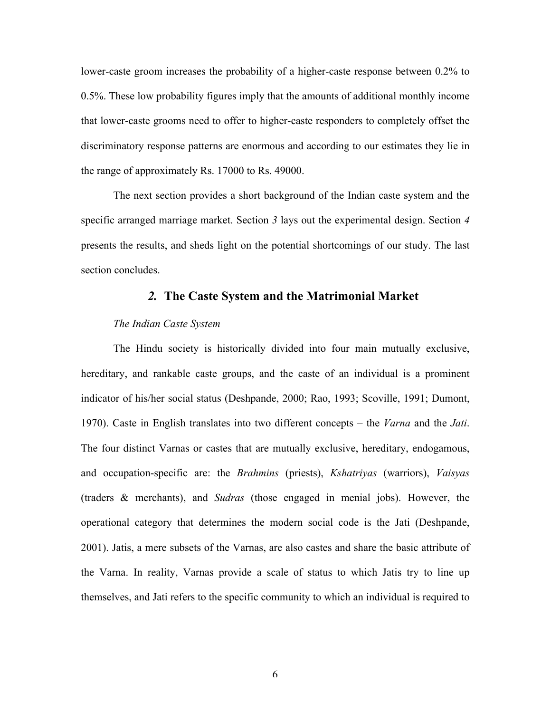lower-caste groom increases the probability of a higher-caste response between 0.2% to 0.5%. These low probability figures imply that the amounts of additional monthly income that lower-caste grooms need to offer to higher-caste responders to completely offset the discriminatory response patterns are enormous and according to our estimates they lie in the range of approximately Rs. 17000 to Rs. 49000.

The next section provides a short background of the Indian caste system and the specific arranged marriage market. Section *3* lays out the experimental design. Section *4* presents the results, and sheds light on the potential shortcomings of our study. The last section concludes.

## *2.* **The Caste System and the Matrimonial Market**

### *The Indian Caste System*

The Hindu society is historically divided into four main mutually exclusive, hereditary, and rankable caste groups, and the caste of an individual is a prominent indicator of his/her social status (Deshpande, 2000; Rao, 1993; Scoville, 1991; Dumont, 1970). Caste in English translates into two different concepts – the *Varna* and the *Jati*. The four distinct Varnas or castes that are mutually exclusive, hereditary, endogamous, and occupation-specific are: the *Brahmins* (priests), *Kshatriyas* (warriors), *Vaisyas* (traders & merchants), and *Sudras* (those engaged in menial jobs). However, the operational category that determines the modern social code is the Jati (Deshpande, 2001). Jatis, a mere subsets of the Varnas, are also castes and share the basic attribute of the Varna. In reality, Varnas provide a scale of status to which Jatis try to line up themselves, and Jati refers to the specific community to which an individual is required to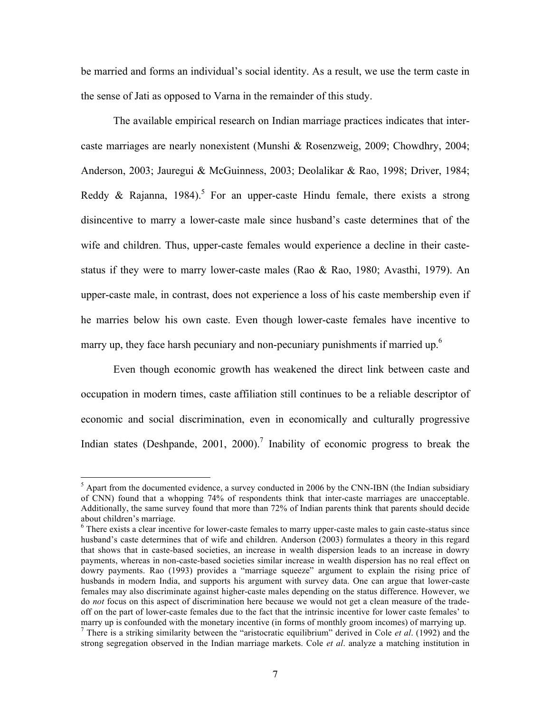be married and forms an individual's social identity. As a result, we use the term caste in the sense of Jati as opposed to Varna in the remainder of this study.

The available empirical research on Indian marriage practices indicates that intercaste marriages are nearly nonexistent (Munshi & Rosenzweig, 2009; Chowdhry, 2004; Anderson, 2003; Jauregui & McGuinness, 2003; Deolalikar & Rao, 1998; Driver, 1984; Reddy & Rajanna, 1984).<sup>5</sup> For an upper-caste Hindu female, there exists a strong disincentive to marry a lower-caste male since husband's caste determines that of the wife and children. Thus, upper-caste females would experience a decline in their castestatus if they were to marry lower-caste males (Rao & Rao, 1980; Avasthi, 1979). An upper-caste male, in contrast, does not experience a loss of his caste membership even if he marries below his own caste. Even though lower-caste females have incentive to marry up, they face harsh pecuniary and non-pecuniary punishments if married up.<sup>6</sup>

Even though economic growth has weakened the direct link between caste and occupation in modern times, caste affiliation still continues to be a reliable descriptor of economic and social discrimination, even in economically and culturally progressive Indian states (Deshpande, 2001, 2000).<sup>7</sup> Inability of economic progress to break the

 <sup>5</sup>  $<sup>5</sup>$  Apart from the documented evidence, a survey conducted in 2006 by the CNN-IBN (the Indian subsidiary</sup> of CNN) found that a whopping 74% of respondents think that inter-caste marriages are unacceptable. Additionally, the same survey found that more than 72% of Indian parents think that parents should decide about children's marriage.

<sup>&</sup>lt;sup>6</sup> There exists a clear incentive for lower-caste females to marry upper-caste males to gain caste-status since husband's caste determines that of wife and children. Anderson (2003) formulates a theory in this regard that shows that in caste-based societies, an increase in wealth dispersion leads to an increase in dowry payments, whereas in non-caste-based societies similar increase in wealth dispersion has no real effect on dowry payments. Rao (1993) provides a "marriage squeeze" argument to explain the rising price of husbands in modern India, and supports his argument with survey data. One can argue that lower-caste females may also discriminate against higher-caste males depending on the status difference. However, we do *not* focus on this aspect of discrimination here because we would not get a clean measure of the tradeoff on the part of lower-caste females due to the fact that the intrinsic incentive for lower caste females' to marry up is confounded with the monetary incentive (in forms of monthly groom incomes) of marrying up.

<sup>7</sup> There is a striking similarity between the "aristocratic equilibrium" derived in Cole *et al*. (1992) and the strong segregation observed in the Indian marriage markets. Cole *et al*. analyze a matching institution in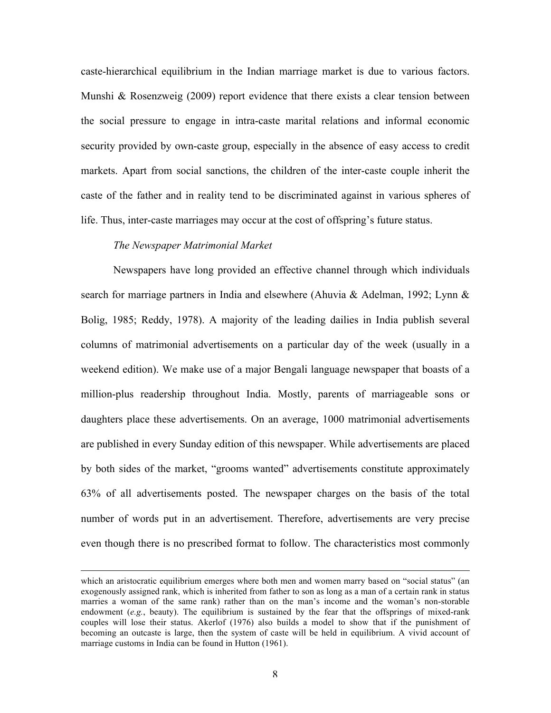caste-hierarchical equilibrium in the Indian marriage market is due to various factors. Munshi & Rosenzweig  $(2009)$  report evidence that there exists a clear tension between the social pressure to engage in intra-caste marital relations and informal economic security provided by own-caste group, especially in the absence of easy access to credit markets. Apart from social sanctions, the children of the inter-caste couple inherit the caste of the father and in reality tend to be discriminated against in various spheres of life. Thus, inter-caste marriages may occur at the cost of offspring's future status.

#### *The Newspaper Matrimonial Market*

Newspapers have long provided an effective channel through which individuals search for marriage partners in India and elsewhere (Ahuvia & Adelman, 1992; Lynn & Bolig, 1985; Reddy, 1978). A majority of the leading dailies in India publish several columns of matrimonial advertisements on a particular day of the week (usually in a weekend edition). We make use of a major Bengali language newspaper that boasts of a million-plus readership throughout India. Mostly, parents of marriageable sons or daughters place these advertisements. On an average, 1000 matrimonial advertisements are published in every Sunday edition of this newspaper. While advertisements are placed by both sides of the market, "grooms wanted" advertisements constitute approximately 63% of all advertisements posted. The newspaper charges on the basis of the total number of words put in an advertisement. Therefore, advertisements are very precise even though there is no prescribed format to follow. The characteristics most commonly

which an aristocratic equilibrium emerges where both men and women marry based on "social status" (an exogenously assigned rank, which is inherited from father to son as long as a man of a certain rank in status marries a woman of the same rank) rather than on the man's income and the woman's non-storable endowment (*e.g.*, beauty). The equilibrium is sustained by the fear that the offsprings of mixed-rank couples will lose their status. Akerlof (1976) also builds a model to show that if the punishment of becoming an outcaste is large, then the system of caste will be held in equilibrium. A vivid account of marriage customs in India can be found in Hutton (1961).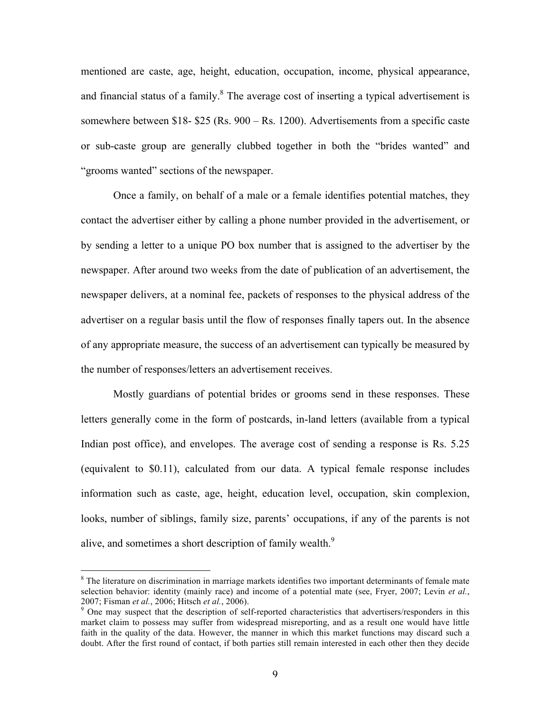mentioned are caste, age, height, education, occupation, income, physical appearance, and financial status of a family.<sup>8</sup> The average cost of inserting a typical advertisement is somewhere between \$18- \$25 (Rs. 900 – Rs. 1200). Advertisements from a specific caste or sub-caste group are generally clubbed together in both the "brides wanted" and "grooms wanted" sections of the newspaper.

Once a family, on behalf of a male or a female identifies potential matches, they contact the advertiser either by calling a phone number provided in the advertisement, or by sending a letter to a unique PO box number that is assigned to the advertiser by the newspaper. After around two weeks from the date of publication of an advertisement, the newspaper delivers, at a nominal fee, packets of responses to the physical address of the advertiser on a regular basis until the flow of responses finally tapers out. In the absence of any appropriate measure, the success of an advertisement can typically be measured by the number of responses/letters an advertisement receives.

Mostly guardians of potential brides or grooms send in these responses. These letters generally come in the form of postcards, in-land letters (available from a typical Indian post office), and envelopes. The average cost of sending a response is Rs. 5.25 (equivalent to \$0.11), calculated from our data. A typical female response includes information such as caste, age, height, education level, occupation, skin complexion, looks, number of siblings, family size, parents' occupations, if any of the parents is not alive, and sometimes a short description of family wealth.<sup>9</sup>

 <sup>8</sup> <sup>8</sup> The literature on discrimination in marriage markets identifies two important determinants of female mate selection behavior: identity (mainly race) and income of a potential mate (see, Fryer, 2007; Levin *et al.*, 2007; Fisman *et al.*, 2006; Hitsch *et al.*, 2006).

<sup>&</sup>lt;sup>9</sup> One may suspect that the description of self-reported characteristics that advertisers/responders in this market claim to possess may suffer from widespread misreporting, and as a result one would have little faith in the quality of the data. However, the manner in which this market functions may discard such a doubt. After the first round of contact, if both parties still remain interested in each other then they decide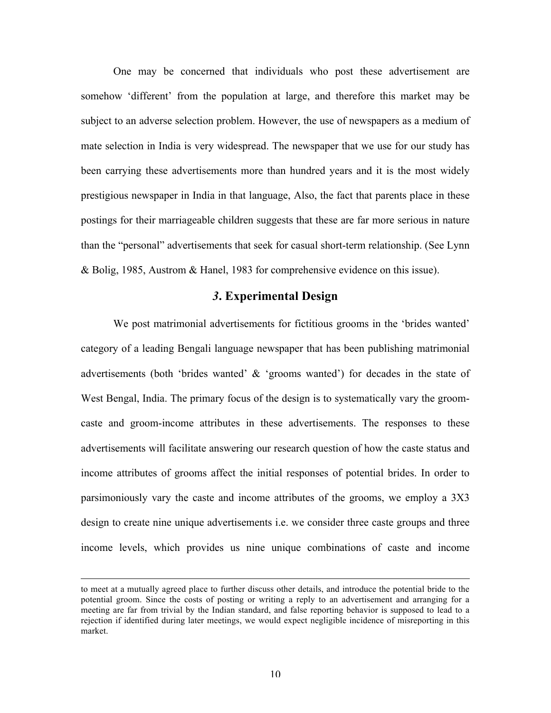One may be concerned that individuals who post these advertisement are somehow 'different' from the population at large, and therefore this market may be subject to an adverse selection problem. However, the use of newspapers as a medium of mate selection in India is very widespread. The newspaper that we use for our study has been carrying these advertisements more than hundred years and it is the most widely prestigious newspaper in India in that language, Also, the fact that parents place in these postings for their marriageable children suggests that these are far more serious in nature than the "personal" advertisements that seek for casual short-term relationship. (See Lynn & Bolig, 1985, Austrom & Hanel, 1983 for comprehensive evidence on this issue).

## *3***. Experimental Design**

We post matrimonial advertisements for fictitious grooms in the 'brides wanted' category of a leading Bengali language newspaper that has been publishing matrimonial advertisements (both 'brides wanted' & 'grooms wanted') for decades in the state of West Bengal, India. The primary focus of the design is to systematically vary the groomcaste and groom-income attributes in these advertisements. The responses to these advertisements will facilitate answering our research question of how the caste status and income attributes of grooms affect the initial responses of potential brides. In order to parsimoniously vary the caste and income attributes of the grooms, we employ a 3X3 design to create nine unique advertisements i.e. we consider three caste groups and three income levels, which provides us nine unique combinations of caste and income

 $\overline{a}$ 

to meet at a mutually agreed place to further discuss other details, and introduce the potential bride to the potential groom. Since the costs of posting or writing a reply to an advertisement and arranging for a meeting are far from trivial by the Indian standard, and false reporting behavior is supposed to lead to a rejection if identified during later meetings, we would expect negligible incidence of misreporting in this market.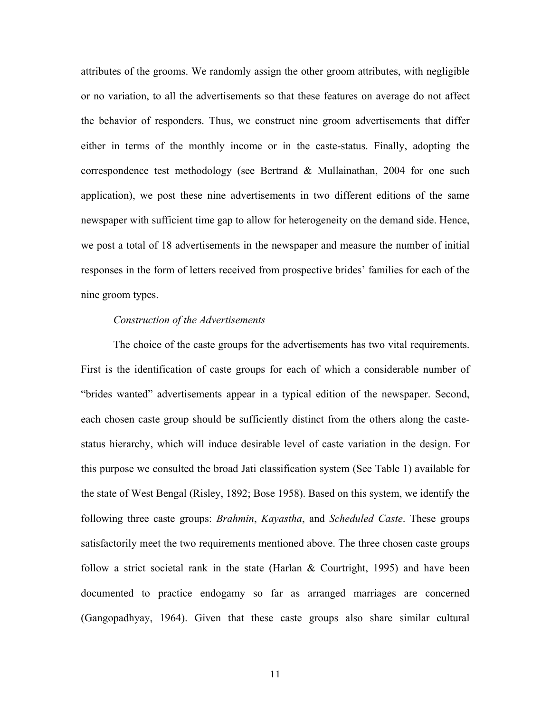attributes of the grooms. We randomly assign the other groom attributes, with negligible or no variation, to all the advertisements so that these features on average do not affect the behavior of responders. Thus, we construct nine groom advertisements that differ either in terms of the monthly income or in the caste-status. Finally, adopting the correspondence test methodology (see Bertrand & Mullainathan, 2004 for one such application), we post these nine advertisements in two different editions of the same newspaper with sufficient time gap to allow for heterogeneity on the demand side. Hence, we post a total of 18 advertisements in the newspaper and measure the number of initial responses in the form of letters received from prospective brides' families for each of the nine groom types.

#### *Construction of the Advertisements*

The choice of the caste groups for the advertisements has two vital requirements. First is the identification of caste groups for each of which a considerable number of "brides wanted" advertisements appear in a typical edition of the newspaper. Second, each chosen caste group should be sufficiently distinct from the others along the castestatus hierarchy, which will induce desirable level of caste variation in the design. For this purpose we consulted the broad Jati classification system (See Table 1) available for the state of West Bengal (Risley, 1892; Bose 1958). Based on this system, we identify the following three caste groups: *Brahmin*, *Kayastha*, and *Scheduled Caste*. These groups satisfactorily meet the two requirements mentioned above. The three chosen caste groups follow a strict societal rank in the state (Harlan  $\&$  Courtright, 1995) and have been documented to practice endogamy so far as arranged marriages are concerned (Gangopadhyay, 1964). Given that these caste groups also share similar cultural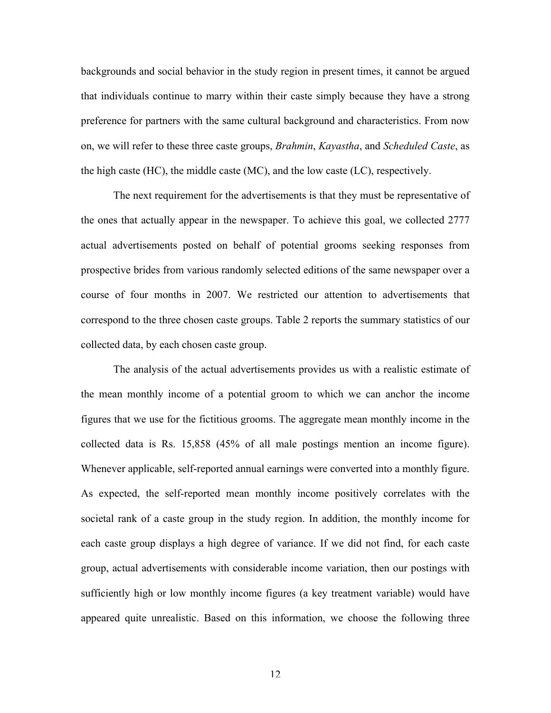backgrounds and social behavior in the study region in present times, it cannot be argued that individuals continue to marry within their caste simply because they have a strong preference for partners with the same cultural background and characteristics. From now on, we will refer to these three caste groups, *Brahmin*, *Kayastha*, and *Scheduled Caste*, as the high caste (HC), the middle caste (MC), and the low caste (LC), respectively.

The next requirement for the advertisements is that they must be representative of the ones that actually appear in the newspaper. To achieve this goal, we collected 2777 actual advertisements posted on behalf of potential grooms seeking responses from prospective brides from various randomly selected editions of the same newspaper over a course of four months in 2007. We restricted our attention to advertisements that correspond to the three chosen caste groups. Table 2 reports the summary statistics of our collected data, by each chosen caste group.

The analysis of the actual advertisements provides us with a realistic estimate of the mean monthly income of a potential groom to which we can anchor the income figures that we use for the fictitious grooms. The aggregate mean monthly income in the collected data is Rs. 15,858 (45% of all male postings mention an income figure). Whenever applicable, self-reported annual earnings were converted into a monthly figure. As expected, the self-reported mean monthly income positively correlates with the societal rank of a caste group in the study region. In addition, the monthly income for each caste group displays a high degree of variance. If we did not find, for each caste group, actual advertisements with considerable income variation, then our postings with sufficiently high or low monthly income figures (a key treatment variable) would have appeared quite unrealistic. Based on this information, we choose the following three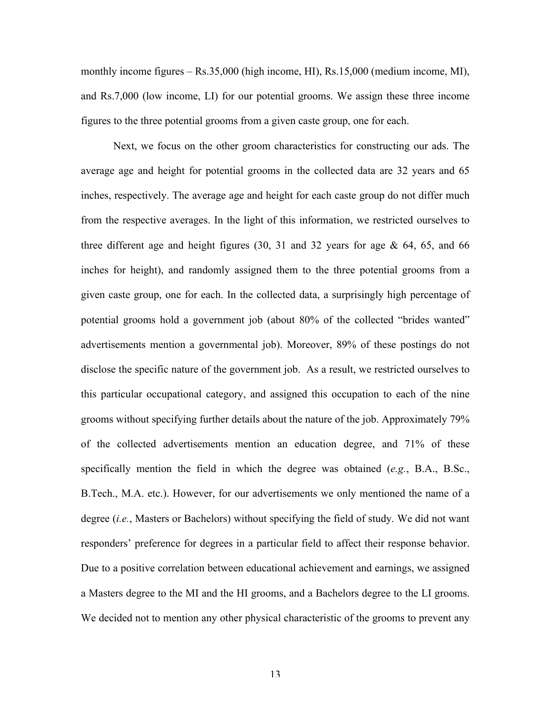monthly income figures – Rs.35,000 (high income, HI), Rs.15,000 (medium income, MI), and Rs.7,000 (low income, LI) for our potential grooms. We assign these three income figures to the three potential grooms from a given caste group, one for each.

Next, we focus on the other groom characteristics for constructing our ads. The average age and height for potential grooms in the collected data are 32 years and 65 inches, respectively. The average age and height for each caste group do not differ much from the respective averages. In the light of this information, we restricted ourselves to three different age and height figures  $(30, 31, 32)$  years for age & 64, 65, and 66 inches for height), and randomly assigned them to the three potential grooms from a given caste group, one for each. In the collected data, a surprisingly high percentage of potential grooms hold a government job (about 80% of the collected "brides wanted" advertisements mention a governmental job). Moreover, 89% of these postings do not disclose the specific nature of the government job. As a result, we restricted ourselves to this particular occupational category, and assigned this occupation to each of the nine grooms without specifying further details about the nature of the job. Approximately 79% of the collected advertisements mention an education degree, and 71% of these specifically mention the field in which the degree was obtained (*e.g.*, B.A., B.Sc., B.Tech., M.A. etc.). However, for our advertisements we only mentioned the name of a degree (*i.e.*, Masters or Bachelors) without specifying the field of study. We did not want responders' preference for degrees in a particular field to affect their response behavior. Due to a positive correlation between educational achievement and earnings, we assigned a Masters degree to the MI and the HI grooms, and a Bachelors degree to the LI grooms. We decided not to mention any other physical characteristic of the grooms to prevent any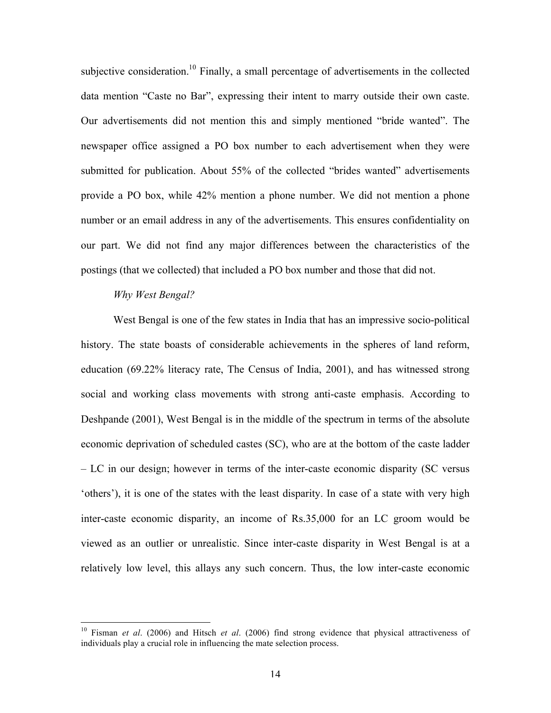subjective consideration.<sup>10</sup> Finally, a small percentage of advertisements in the collected data mention "Caste no Bar", expressing their intent to marry outside their own caste. Our advertisements did not mention this and simply mentioned "bride wanted". The newspaper office assigned a PO box number to each advertisement when they were submitted for publication. About 55% of the collected "brides wanted" advertisements provide a PO box, while 42% mention a phone number. We did not mention a phone number or an email address in any of the advertisements. This ensures confidentiality on our part. We did not find any major differences between the characteristics of the postings (that we collected) that included a PO box number and those that did not.

### *Why West Bengal?*

West Bengal is one of the few states in India that has an impressive socio-political history. The state boasts of considerable achievements in the spheres of land reform, education (69.22% literacy rate, The Census of India, 2001), and has witnessed strong social and working class movements with strong anti-caste emphasis. According to Deshpande (2001), West Bengal is in the middle of the spectrum in terms of the absolute economic deprivation of scheduled castes (SC), who are at the bottom of the caste ladder – LC in our design; however in terms of the inter-caste economic disparity (SC versus 'others'), it is one of the states with the least disparity. In case of a state with very high inter-caste economic disparity, an income of Rs.35,000 for an LC groom would be viewed as an outlier or unrealistic. Since inter-caste disparity in West Bengal is at a relatively low level, this allays any such concern. Thus, the low inter-caste economic

 <sup>10</sup> Fisman *et al*. (2006) and Hitsch *et al*. (2006) find strong evidence that physical attractiveness of individuals play a crucial role in influencing the mate selection process.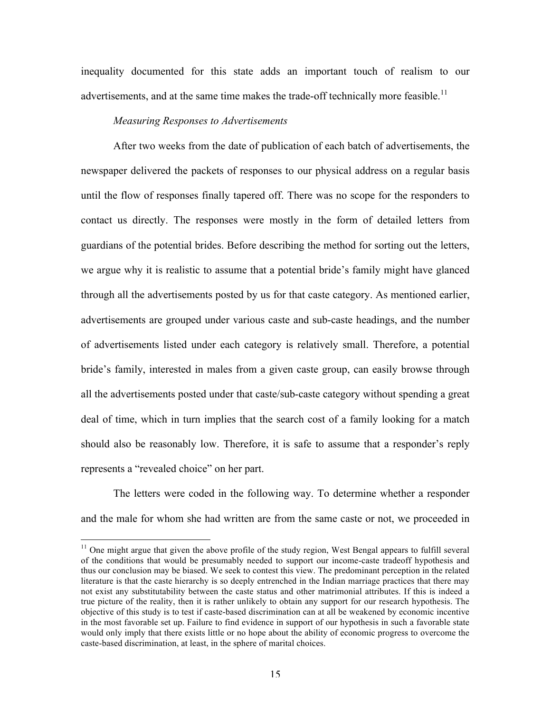inequality documented for this state adds an important touch of realism to our advertisements, and at the same time makes the trade-off technically more feasible.<sup>11</sup>

### *Measuring Responses to Advertisements*

After two weeks from the date of publication of each batch of advertisements, the newspaper delivered the packets of responses to our physical address on a regular basis until the flow of responses finally tapered off. There was no scope for the responders to contact us directly. The responses were mostly in the form of detailed letters from guardians of the potential brides. Before describing the method for sorting out the letters, we argue why it is realistic to assume that a potential bride's family might have glanced through all the advertisements posted by us for that caste category. As mentioned earlier, advertisements are grouped under various caste and sub-caste headings, and the number of advertisements listed under each category is relatively small. Therefore, a potential bride's family, interested in males from a given caste group, can easily browse through all the advertisements posted under that caste/sub-caste category without spending a great deal of time, which in turn implies that the search cost of a family looking for a match should also be reasonably low. Therefore, it is safe to assume that a responder's reply represents a "revealed choice" on her part.

The letters were coded in the following way. To determine whether a responder and the male for whom she had written are from the same caste or not, we proceeded in

 $11$  One might argue that given the above profile of the study region, West Bengal appears to fulfill several of the conditions that would be presumably needed to support our income-caste tradeoff hypothesis and thus our conclusion may be biased. We seek to contest this view. The predominant perception in the related literature is that the caste hierarchy is so deeply entrenched in the Indian marriage practices that there may not exist any substitutability between the caste status and other matrimonial attributes. If this is indeed a true picture of the reality, then it is rather unlikely to obtain any support for our research hypothesis. The objective of this study is to test if caste-based discrimination can at all be weakened by economic incentive in the most favorable set up. Failure to find evidence in support of our hypothesis in such a favorable state would only imply that there exists little or no hope about the ability of economic progress to overcome the caste-based discrimination, at least, in the sphere of marital choices.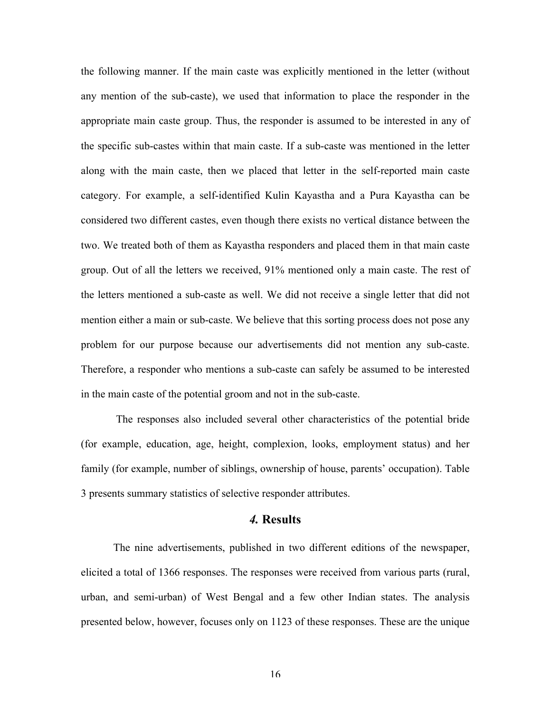the following manner. If the main caste was explicitly mentioned in the letter (without any mention of the sub-caste), we used that information to place the responder in the appropriate main caste group. Thus, the responder is assumed to be interested in any of the specific sub-castes within that main caste. If a sub-caste was mentioned in the letter along with the main caste, then we placed that letter in the self-reported main caste category. For example, a self-identified Kulin Kayastha and a Pura Kayastha can be considered two different castes, even though there exists no vertical distance between the two. We treated both of them as Kayastha responders and placed them in that main caste group. Out of all the letters we received, 91% mentioned only a main caste. The rest of the letters mentioned a sub-caste as well. We did not receive a single letter that did not mention either a main or sub-caste. We believe that this sorting process does not pose any problem for our purpose because our advertisements did not mention any sub-caste. Therefore, a responder who mentions a sub-caste can safely be assumed to be interested in the main caste of the potential groom and not in the sub-caste.

 The responses also included several other characteristics of the potential bride (for example, education, age, height, complexion, looks, employment status) and her family (for example, number of siblings, ownership of house, parents' occupation). Table 3 presents summary statistics of selective responder attributes.

## *4.* **Results**

The nine advertisements, published in two different editions of the newspaper, elicited a total of 1366 responses. The responses were received from various parts (rural, urban, and semi-urban) of West Bengal and a few other Indian states. The analysis presented below, however, focuses only on 1123 of these responses. These are the unique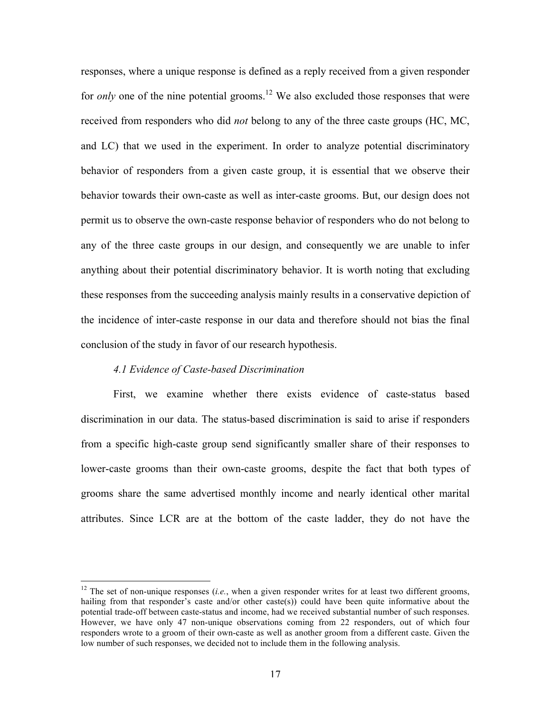responses, where a unique response is defined as a reply received from a given responder for *only* one of the nine potential grooms.<sup>12</sup> We also excluded those responses that were received from responders who did *not* belong to any of the three caste groups (HC, MC, and LC) that we used in the experiment. In order to analyze potential discriminatory behavior of responders from a given caste group, it is essential that we observe their behavior towards their own-caste as well as inter-caste grooms. But, our design does not permit us to observe the own-caste response behavior of responders who do not belong to any of the three caste groups in our design, and consequently we are unable to infer anything about their potential discriminatory behavior. It is worth noting that excluding these responses from the succeeding analysis mainly results in a conservative depiction of the incidence of inter-caste response in our data and therefore should not bias the final conclusion of the study in favor of our research hypothesis.

### *4.1 Evidence of Caste-based Discrimination*

First, we examine whether there exists evidence of caste-status based discrimination in our data. The status-based discrimination is said to arise if responders from a specific high-caste group send significantly smaller share of their responses to lower-caste grooms than their own-caste grooms, despite the fact that both types of grooms share the same advertised monthly income and nearly identical other marital attributes. Since LCR are at the bottom of the caste ladder, they do not have the

<sup>&</sup>lt;sup>12</sup> The set of non-unique responses *(i.e.*, when a given responder writes for at least two different grooms, hailing from that responder's caste and/or other caste(s)) could have been quite informative about the potential trade-off between caste-status and income, had we received substantial number of such responses. However, we have only 47 non-unique observations coming from 22 responders, out of which four responders wrote to a groom of their own-caste as well as another groom from a different caste. Given the low number of such responses, we decided not to include them in the following analysis.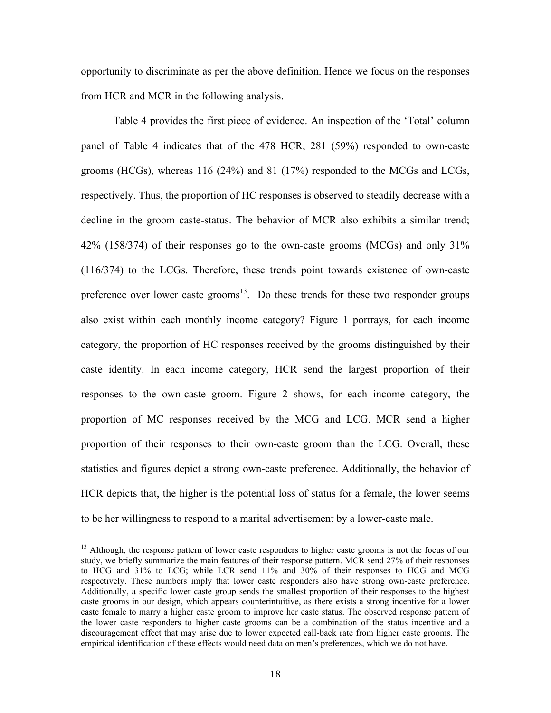opportunity to discriminate as per the above definition. Hence we focus on the responses from HCR and MCR in the following analysis.

Table 4 provides the first piece of evidence. An inspection of the 'Total' column panel of Table 4 indicates that of the 478 HCR, 281 (59%) responded to own-caste grooms (HCGs), whereas 116 (24%) and 81 (17%) responded to the MCGs and LCGs, respectively. Thus, the proportion of HC responses is observed to steadily decrease with a decline in the groom caste-status. The behavior of MCR also exhibits a similar trend; 42% (158/374) of their responses go to the own-caste grooms (MCGs) and only 31% (116/374) to the LCGs. Therefore, these trends point towards existence of own-caste preference over lower caste grooms<sup>13</sup>. Do these trends for these two responder groups also exist within each monthly income category? Figure 1 portrays, for each income category, the proportion of HC responses received by the grooms distinguished by their caste identity. In each income category, HCR send the largest proportion of their responses to the own-caste groom. Figure 2 shows, for each income category, the proportion of MC responses received by the MCG and LCG. MCR send a higher proportion of their responses to their own-caste groom than the LCG. Overall, these statistics and figures depict a strong own-caste preference. Additionally, the behavior of HCR depicts that, the higher is the potential loss of status for a female, the lower seems to be her willingness to respond to a marital advertisement by a lower-caste male.

<sup>&</sup>lt;sup>13</sup> Although, the response pattern of lower caste responders to higher caste grooms is not the focus of our study, we briefly summarize the main features of their response pattern. MCR send 27% of their responses to HCG and 31% to LCG; while LCR send 11% and 30% of their responses to HCG and MCG respectively. These numbers imply that lower caste responders also have strong own-caste preference. Additionally, a specific lower caste group sends the smallest proportion of their responses to the highest caste grooms in our design, which appears counterintuitive, as there exists a strong incentive for a lower caste female to marry a higher caste groom to improve her caste status. The observed response pattern of the lower caste responders to higher caste grooms can be a combination of the status incentive and a discouragement effect that may arise due to lower expected call-back rate from higher caste grooms. The empirical identification of these effects would need data on men's preferences, which we do not have.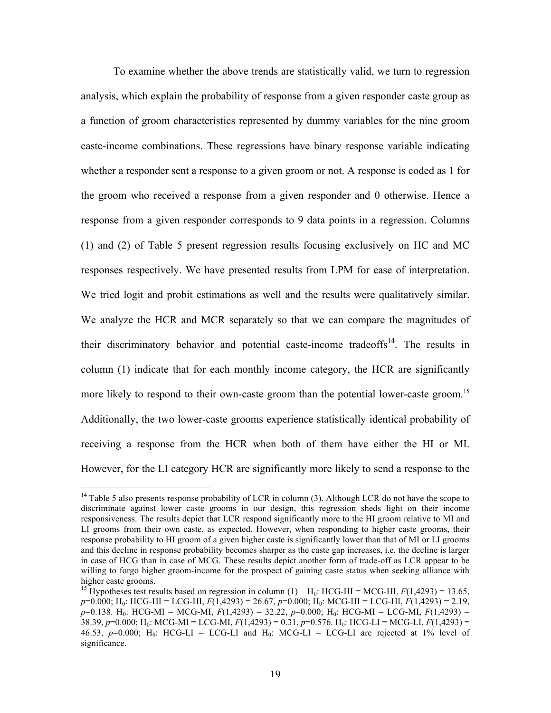To examine whether the above trends are statistically valid, we turn to regression analysis, which explain the probability of response from a given responder caste group as a function of groom characteristics represented by dummy variables for the nine groom caste-income combinations. These regressions have binary response variable indicating whether a responder sent a response to a given groom or not. A response is coded as 1 for the groom who received a response from a given responder and 0 otherwise. Hence a response from a given responder corresponds to 9 data points in a regression. Columns (1) and (2) of Table 5 present regression results focusing exclusively on HC and MC responses respectively. We have presented results from LPM for ease of interpretation. We tried logit and probit estimations as well and the results were qualitatively similar. We analyze the HCR and MCR separately so that we can compare the magnitudes of their discriminatory behavior and potential caste-income tradeoffs<sup>14</sup>. The results in column (1) indicate that for each monthly income category, the HCR are significantly more likely to respond to their own-caste groom than the potential lower-caste groom.<sup>15</sup> Additionally, the two lower-caste grooms experience statistically identical probability of receiving a response from the HCR when both of them have either the HI or MI. However, for the LI category HCR are significantly more likely to send a response to the

<sup>&</sup>lt;sup>14</sup> Table 5 also presents response probability of LCR in column (3). Although LCR do not have the scope to discriminate against lower caste grooms in our design, this regression sheds light on their income responsiveness. The results depict that LCR respond significantly more to the HI groom relative to MI and LI grooms from their own caste, as expected. However, when responding to higher caste grooms, their response probability to HI groom of a given higher caste is significantly lower than that of MI or LI grooms and this decline in response probability becomes sharper as the caste gap increases, i.e. the decline is larger in case of HCG than in case of MCG. These results depict another form of trade-off as LCR appear to be willing to forgo higher groom-income for the prospect of gaining caste status when seeking alliance with higher caste grooms.

<sup>&</sup>lt;sup>15</sup> Hypotheses test results based on regression in column (1) – H<sub>0</sub>: HCG-HI = MCG-HI,  $F(1,4293) = 13.65$ , *p*=0.000; H0: HCG-HI = LCG-HI, *F*(1,4293) = 26.67, *p*=0.000; H0: MCG-HI = LCG-HI, *F*(1,4293) = 2.19, *p*=0.138. H<sub>0</sub>: HCG-MI = MCG-MI, *F*(1,4293) = 32.22, *p*=0.000; H<sub>0</sub>: HCG-MI = LCG-MI, *F*(1,4293) = 38.39, *p*=0.000; H0: MCG-MI = LCG-MI, *F*(1,4293) = 0.31, *p*=0.576. H0: HCG-LI = MCG-LI, *F*(1,4293) = 46.53,  $p=0.000$ ; H<sub>0</sub>: HCG-LI = LCG-LI and H<sub>0</sub>: MCG-LI = LCG-LI are rejected at 1% level of significance.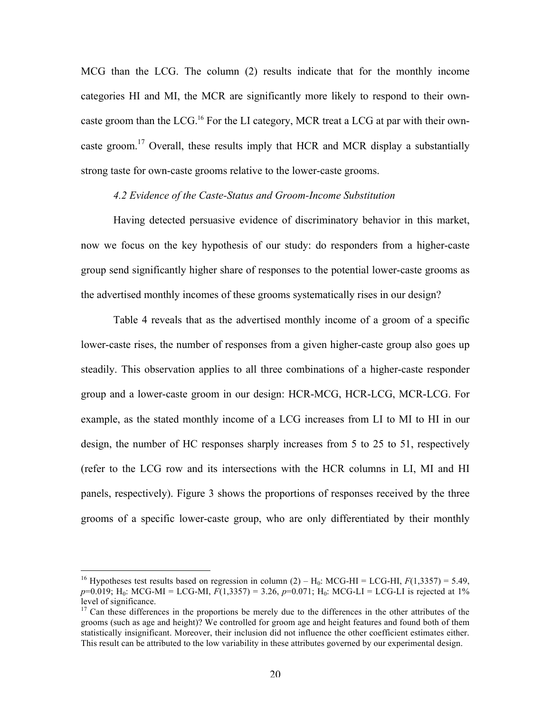MCG than the LCG. The column (2) results indicate that for the monthly income categories HI and MI, the MCR are significantly more likely to respond to their owncaste groom than the LCG.<sup>16</sup> For the LI category, MCR treat a LCG at par with their owncaste groom.<sup>17</sup> Overall, these results imply that HCR and MCR display a substantially strong taste for own-caste grooms relative to the lower-caste grooms.

#### *4.2 Evidence of the Caste-Status and Groom-Income Substitution*

Having detected persuasive evidence of discriminatory behavior in this market, now we focus on the key hypothesis of our study: do responders from a higher-caste group send significantly higher share of responses to the potential lower-caste grooms as the advertised monthly incomes of these grooms systematically rises in our design?

Table 4 reveals that as the advertised monthly income of a groom of a specific lower-caste rises, the number of responses from a given higher-caste group also goes up steadily. This observation applies to all three combinations of a higher-caste responder group and a lower-caste groom in our design: HCR-MCG, HCR-LCG, MCR-LCG. For example, as the stated monthly income of a LCG increases from LI to MI to HI in our design, the number of HC responses sharply increases from 5 to 25 to 51, respectively (refer to the LCG row and its intersections with the HCR columns in LI, MI and HI panels, respectively). Figure 3 shows the proportions of responses received by the three grooms of a specific lower-caste group, who are only differentiated by their monthly

<sup>&</sup>lt;sup>16</sup> Hypotheses test results based on regression in column  $(2) - H_0$ : MCG-HI = LCG-HI,  $F(1,3357) = 5.49$ ,  $p=0.019$ ; H<sub>0</sub>: MCG-MI = LCG-MI,  $F(1,3357) = 3.26$ ,  $p=0.071$ ; H<sub>0</sub>: MCG-LI = LCG-LI is rejected at 1% level of significance.

 $17$  Can these differences in the proportions be merely due to the differences in the other attributes of the grooms (such as age and height)? We controlled for groom age and height features and found both of them statistically insignificant. Moreover, their inclusion did not influence the other coefficient estimates either. This result can be attributed to the low variability in these attributes governed by our experimental design.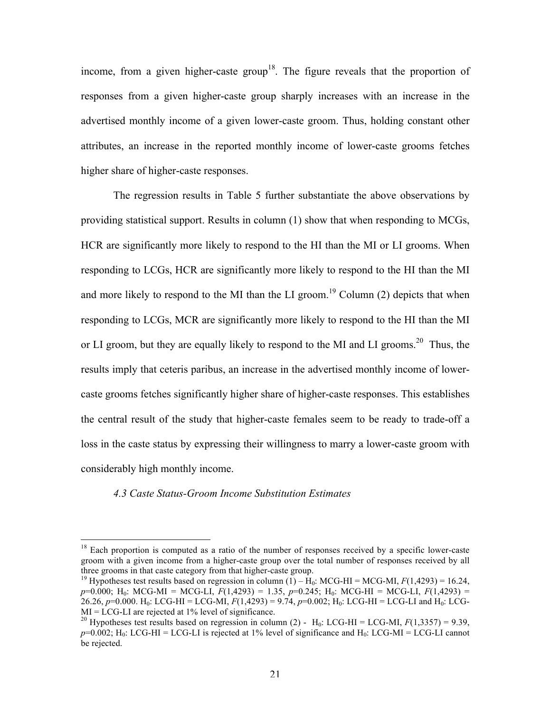income, from a given higher-caste group<sup>18</sup>. The figure reveals that the proportion of responses from a given higher-caste group sharply increases with an increase in the advertised monthly income of a given lower-caste groom. Thus, holding constant other attributes, an increase in the reported monthly income of lower-caste grooms fetches higher share of higher-caste responses.

The regression results in Table 5 further substantiate the above observations by providing statistical support. Results in column (1) show that when responding to MCGs, HCR are significantly more likely to respond to the HI than the MI or LI grooms. When responding to LCGs, HCR are significantly more likely to respond to the HI than the MI and more likely to respond to the MI than the LI groom.<sup>19</sup> Column  $(2)$  depicts that when responding to LCGs, MCR are significantly more likely to respond to the HI than the MI or LI groom, but they are equally likely to respond to the MI and LI grooms.<sup>20</sup> Thus, the results imply that ceteris paribus, an increase in the advertised monthly income of lowercaste grooms fetches significantly higher share of higher-caste responses. This establishes the central result of the study that higher-caste females seem to be ready to trade-off a loss in the caste status by expressing their willingness to marry a lower-caste groom with considerably high monthly income.

#### *4.3 Caste Status-Groom Income Substitution Estimates*

 $18$  Each proportion is computed as a ratio of the number of responses received by a specific lower-caste groom with a given income from a higher-caste group over the total number of responses received by all three grooms in that caste category from that higher-caste group.<br><sup>19</sup> Hypotheses test results based on regression in column (1) – H<sub>0</sub>: MCG-HI = MCG-MI, *F*(1,4293) = 16.24,

 $p=0.000$ ; H<sub>0</sub>: MCG-MI = MCG-LI,  $F(1.4293) = 1.35$ ,  $p=0.245$ ; H<sub>0</sub>: MCG-HI = MCG-LI,  $F(1.4293) =$ 26.26,  $p=0.000$ . H<sub>0</sub>: LCG-HI = LCG-MI,  $F(1,4293) = 9.74$ ,  $p=0.002$ ; H<sub>0</sub>: LCG-HI = LCG-LI and H<sub>0</sub>: LCG-MI = LCG-LI are rejected at 1% level of significance.

<sup>&</sup>lt;sup>20</sup> Hypotheses test results based on regression in column (2) - H<sub>0</sub>: LCG-HI = LCG-MI, *F*(1,3357) = 9.39,  $p=0.002$ ; H<sub>0</sub>: LCG-HI = LCG-LI is rejected at 1% level of significance and H<sub>0</sub>: LCG-MI = LCG-LI cannot be rejected.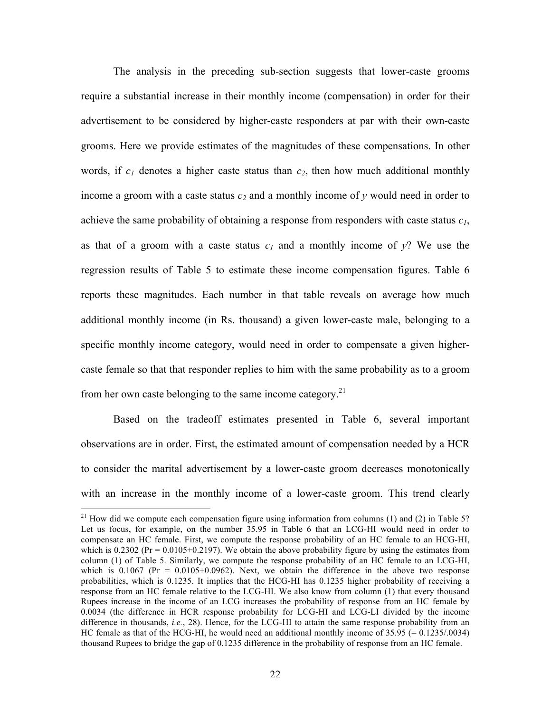The analysis in the preceding sub-section suggests that lower-caste grooms require a substantial increase in their monthly income (compensation) in order for their advertisement to be considered by higher-caste responders at par with their own-caste grooms. Here we provide estimates of the magnitudes of these compensations. In other words, if  $c_1$  denotes a higher caste status than  $c_2$ , then how much additional monthly income a groom with a caste status  $c_2$  and a monthly income of  $y$  would need in order to achieve the same probability of obtaining a response from responders with caste status *c1*, as that of a groom with a caste status  $c_1$  and a monthly income of  $y$ ? We use the regression results of Table 5 to estimate these income compensation figures. Table 6 reports these magnitudes. Each number in that table reveals on average how much additional monthly income (in Rs. thousand) a given lower-caste male, belonging to a specific monthly income category, would need in order to compensate a given highercaste female so that that responder replies to him with the same probability as to a groom from her own caste belonging to the same income category.<sup>21</sup>

Based on the tradeoff estimates presented in Table 6, several important observations are in order. First, the estimated amount of compensation needed by a HCR to consider the marital advertisement by a lower-caste groom decreases monotonically with an increase in the monthly income of a lower-caste groom. This trend clearly

<sup>&</sup>lt;sup>21</sup> How did we compute each compensation figure using information from columns (1) and (2) in Table 5? Let us focus, for example, on the number 35.95 in Table 6 that an LCG-HI would need in order to compensate an HC female. First, we compute the response probability of an HC female to an HCG-HI, which is  $0.2302$  (Pr =  $0.0105+0.2197$ ). We obtain the above probability figure by using the estimates from column (1) of Table 5. Similarly, we compute the response probability of an HC female to an LCG-HI, which is  $0.1067$  (Pr =  $0.0105+0.0962$ ). Next, we obtain the difference in the above two response probabilities, which is 0.1235. It implies that the HCG-HI has 0.1235 higher probability of receiving a response from an HC female relative to the LCG-HI. We also know from column (1) that every thousand Rupees increase in the income of an LCG increases the probability of response from an HC female by 0.0034 (the difference in HCR response probability for LCG-HI and LCG-LI divided by the income difference in thousands, *i.e.*, 28). Hence, for the LCG-HI to attain the same response probability from an HC female as that of the HCG-HI, he would need an additional monthly income of 35.95 (= 0.1235/.0034) thousand Rupees to bridge the gap of 0.1235 difference in the probability of response from an HC female.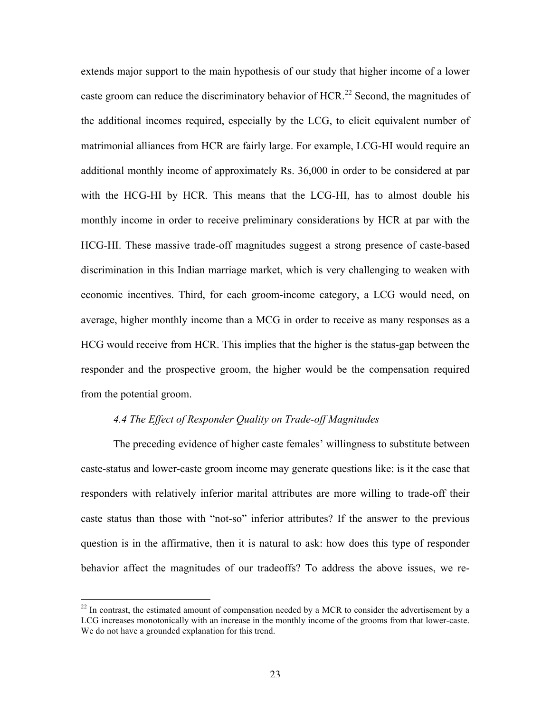extends major support to the main hypothesis of our study that higher income of a lower caste groom can reduce the discriminatory behavior of HCR.<sup>22</sup> Second, the magnitudes of the additional incomes required, especially by the LCG, to elicit equivalent number of matrimonial alliances from HCR are fairly large. For example, LCG-HI would require an additional monthly income of approximately Rs. 36,000 in order to be considered at par with the HCG-HI by HCR. This means that the LCG-HI, has to almost double his monthly income in order to receive preliminary considerations by HCR at par with the HCG-HI. These massive trade-off magnitudes suggest a strong presence of caste-based discrimination in this Indian marriage market, which is very challenging to weaken with economic incentives. Third, for each groom-income category, a LCG would need, on average, higher monthly income than a MCG in order to receive as many responses as a HCG would receive from HCR. This implies that the higher is the status-gap between the responder and the prospective groom, the higher would be the compensation required from the potential groom.

### *4.4 The Effect of Responder Quality on Trade-off Magnitudes*

The preceding evidence of higher caste females' willingness to substitute between caste-status and lower-caste groom income may generate questions like: is it the case that responders with relatively inferior marital attributes are more willing to trade-off their caste status than those with "not-so" inferior attributes? If the answer to the previous question is in the affirmative, then it is natural to ask: how does this type of responder behavior affect the magnitudes of our tradeoffs? To address the above issues, we re-

 $^{22}$  In contrast, the estimated amount of compensation needed by a MCR to consider the advertisement by a LCG increases monotonically with an increase in the monthly income of the grooms from that lower-caste. We do not have a grounded explanation for this trend.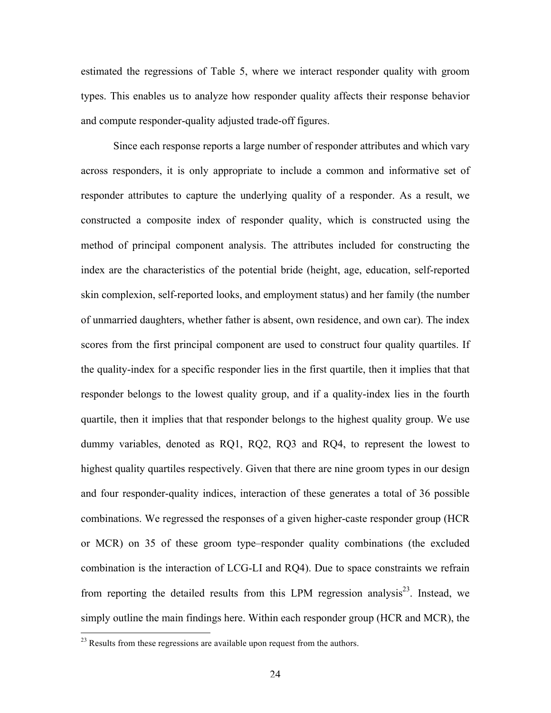estimated the regressions of Table 5, where we interact responder quality with groom types. This enables us to analyze how responder quality affects their response behavior and compute responder-quality adjusted trade-off figures.

Since each response reports a large number of responder attributes and which vary across responders, it is only appropriate to include a common and informative set of responder attributes to capture the underlying quality of a responder. As a result, we constructed a composite index of responder quality, which is constructed using the method of principal component analysis. The attributes included for constructing the index are the characteristics of the potential bride (height, age, education, self-reported skin complexion, self-reported looks, and employment status) and her family (the number of unmarried daughters, whether father is absent, own residence, and own car). The index scores from the first principal component are used to construct four quality quartiles. If the quality-index for a specific responder lies in the first quartile, then it implies that that responder belongs to the lowest quality group, and if a quality-index lies in the fourth quartile, then it implies that that responder belongs to the highest quality group. We use dummy variables, denoted as RQ1, RQ2, RQ3 and RQ4, to represent the lowest to highest quality quartiles respectively. Given that there are nine groom types in our design and four responder-quality indices, interaction of these generates a total of 36 possible combinations. We regressed the responses of a given higher-caste responder group (HCR or MCR) on 35 of these groom type–responder quality combinations (the excluded combination is the interaction of LCG-LI and RQ4). Due to space constraints we refrain from reporting the detailed results from this LPM regression analysis<sup>23</sup>. Instead, we simply outline the main findings here. Within each responder group (HCR and MCR), the

 $^{23}$  Results from these regressions are available upon request from the authors.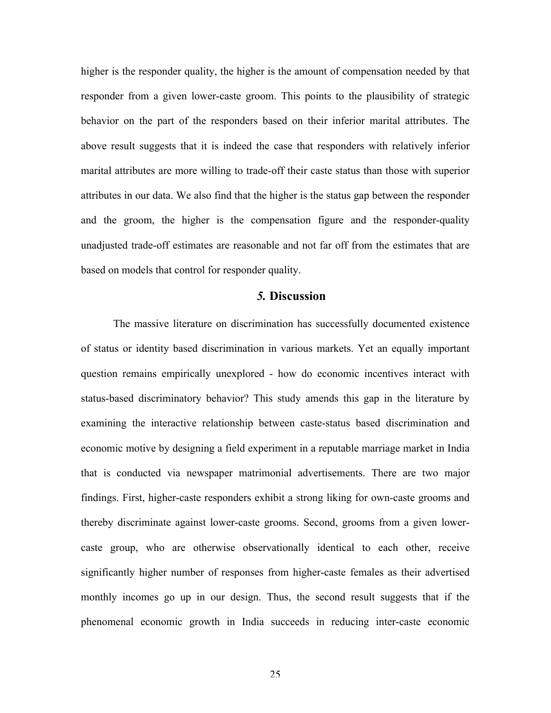higher is the responder quality, the higher is the amount of compensation needed by that responder from a given lower-caste groom. This points to the plausibility of strategic behavior on the part of the responders based on their inferior marital attributes. The above result suggests that it is indeed the case that responders with relatively inferior marital attributes are more willing to trade-off their caste status than those with superior attributes in our data. We also find that the higher is the status gap between the responder and the groom, the higher is the compensation figure and the responder-quality unadjusted trade-off estimates are reasonable and not far off from the estimates that are based on models that control for responder quality.

# *5.* **Discussion**

The massive literature on discrimination has successfully documented existence of status or identity based discrimination in various markets. Yet an equally important question remains empirically unexplored - how do economic incentives interact with status-based discriminatory behavior? This study amends this gap in the literature by examining the interactive relationship between caste-status based discrimination and economic motive by designing a field experiment in a reputable marriage market in India that is conducted via newspaper matrimonial advertisements. There are two major findings. First, higher-caste responders exhibit a strong liking for own-caste grooms and thereby discriminate against lower-caste grooms. Second, grooms from a given lowercaste group, who are otherwise observationally identical to each other, receive significantly higher number of responses from higher-caste females as their advertised monthly incomes go up in our design. Thus, the second result suggests that if the phenomenal economic growth in India succeeds in reducing inter-caste economic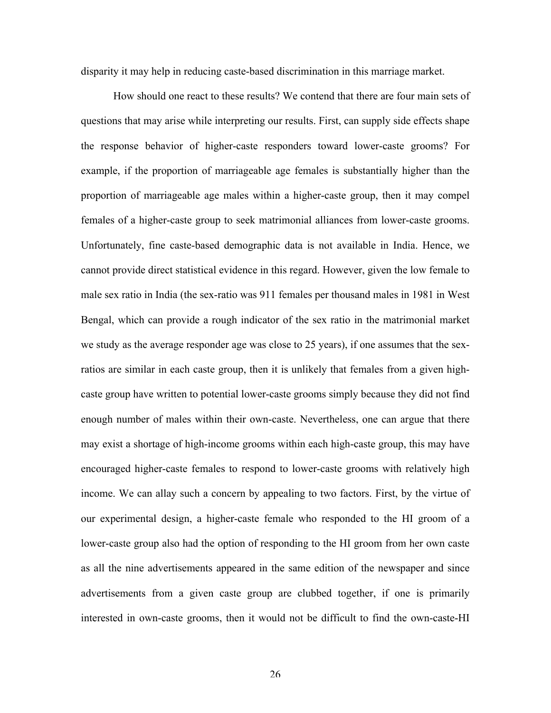disparity it may help in reducing caste-based discrimination in this marriage market.

How should one react to these results? We contend that there are four main sets of questions that may arise while interpreting our results. First, can supply side effects shape the response behavior of higher-caste responders toward lower-caste grooms? For example, if the proportion of marriageable age females is substantially higher than the proportion of marriageable age males within a higher-caste group, then it may compel females of a higher-caste group to seek matrimonial alliances from lower-caste grooms. Unfortunately, fine caste-based demographic data is not available in India. Hence, we cannot provide direct statistical evidence in this regard. However, given the low female to male sex ratio in India (the sex-ratio was 911 females per thousand males in 1981 in West Bengal, which can provide a rough indicator of the sex ratio in the matrimonial market we study as the average responder age was close to 25 years), if one assumes that the sexratios are similar in each caste group, then it is unlikely that females from a given highcaste group have written to potential lower-caste grooms simply because they did not find enough number of males within their own-caste. Nevertheless, one can argue that there may exist a shortage of high-income grooms within each high-caste group, this may have encouraged higher-caste females to respond to lower-caste grooms with relatively high income. We can allay such a concern by appealing to two factors. First, by the virtue of our experimental design, a higher-caste female who responded to the HI groom of a lower-caste group also had the option of responding to the HI groom from her own caste as all the nine advertisements appeared in the same edition of the newspaper and since advertisements from a given caste group are clubbed together, if one is primarily interested in own-caste grooms, then it would not be difficult to find the own-caste-HI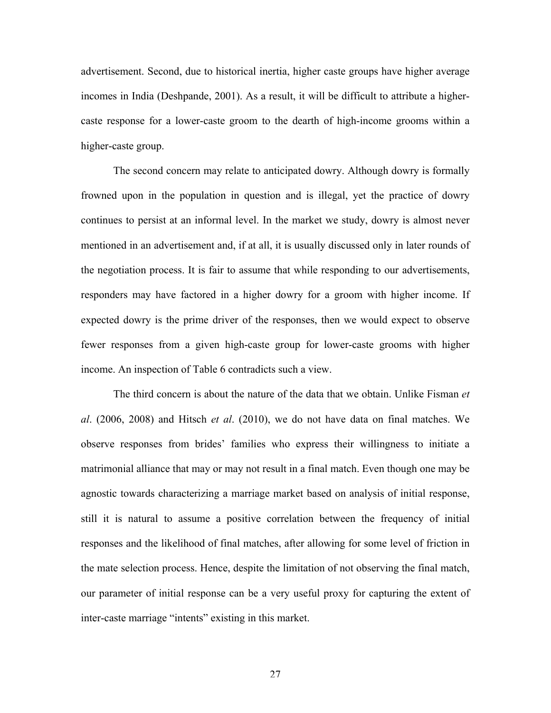advertisement. Second, due to historical inertia, higher caste groups have higher average incomes in India (Deshpande, 2001). As a result, it will be difficult to attribute a highercaste response for a lower-caste groom to the dearth of high-income grooms within a higher-caste group.

The second concern may relate to anticipated dowry. Although dowry is formally frowned upon in the population in question and is illegal, yet the practice of dowry continues to persist at an informal level. In the market we study, dowry is almost never mentioned in an advertisement and, if at all, it is usually discussed only in later rounds of the negotiation process. It is fair to assume that while responding to our advertisements, responders may have factored in a higher dowry for a groom with higher income. If expected dowry is the prime driver of the responses, then we would expect to observe fewer responses from a given high-caste group for lower-caste grooms with higher income. An inspection of Table 6 contradicts such a view.

The third concern is about the nature of the data that we obtain. Unlike Fisman *et al*. (2006, 2008) and Hitsch *et al*. (2010), we do not have data on final matches. We observe responses from brides' families who express their willingness to initiate a matrimonial alliance that may or may not result in a final match. Even though one may be agnostic towards characterizing a marriage market based on analysis of initial response, still it is natural to assume a positive correlation between the frequency of initial responses and the likelihood of final matches, after allowing for some level of friction in the mate selection process. Hence, despite the limitation of not observing the final match, our parameter of initial response can be a very useful proxy for capturing the extent of inter-caste marriage "intents" existing in this market.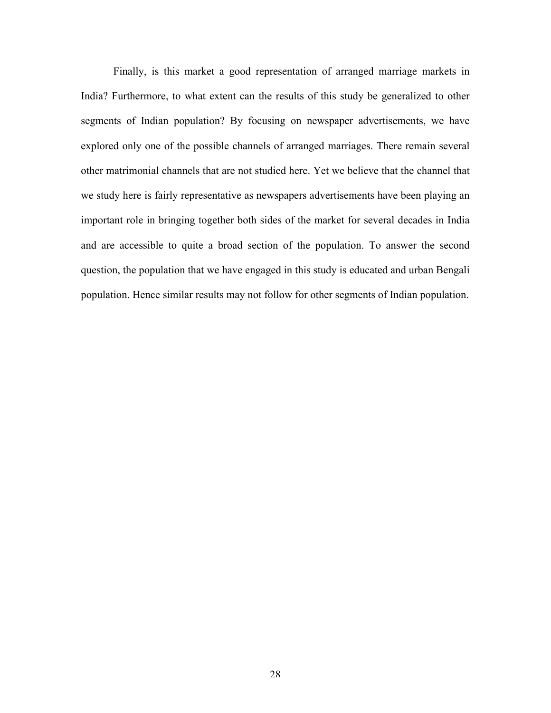Finally, is this market a good representation of arranged marriage markets in India? Furthermore, to what extent can the results of this study be generalized to other segments of Indian population? By focusing on newspaper advertisements, we have explored only one of the possible channels of arranged marriages. There remain several other matrimonial channels that are not studied here. Yet we believe that the channel that we study here is fairly representative as newspapers advertisements have been playing an important role in bringing together both sides of the market for several decades in India and are accessible to quite a broad section of the population. To answer the second question, the population that we have engaged in this study is educated and urban Bengali population. Hence similar results may not follow for other segments of Indian population.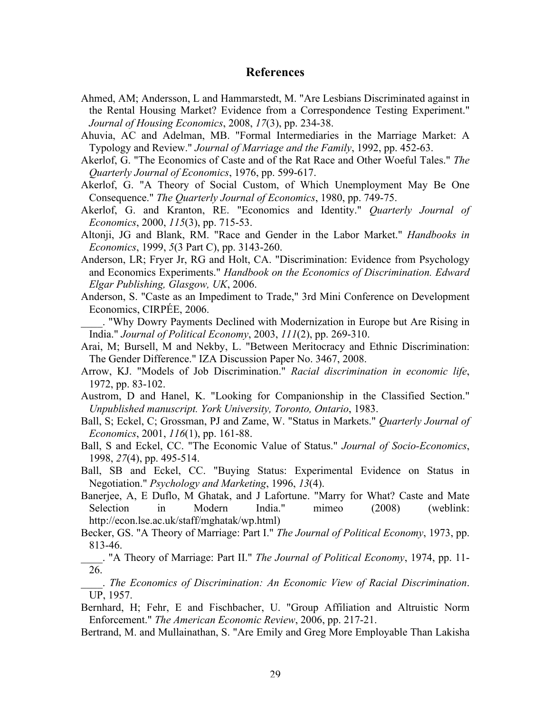## **References**

- Ahmed, AM; Andersson, L and Hammarstedt, M. "Are Lesbians Discriminated against in the Rental Housing Market? Evidence from a Correspondence Testing Experiment." *Journal of Housing Economics*, 2008, *17*(3), pp. 234-38.
- Ahuvia, AC and Adelman, MB. "Formal Intermediaries in the Marriage Market: A Typology and Review." *Journal of Marriage and the Family*, 1992, pp. 452-63.
- Akerlof, G. "The Economics of Caste and of the Rat Race and Other Woeful Tales." *The Quarterly Journal of Economics*, 1976, pp. 599-617.
- Akerlof, G. "A Theory of Social Custom, of Which Unemployment May Be One Consequence." *The Quarterly Journal of Economics*, 1980, pp. 749-75.
- Akerlof, G. and Kranton, RE. "Economics and Identity." *Quarterly Journal of Economics*, 2000, *115*(3), pp. 715-53.
- Altonji, JG and Blank, RM. "Race and Gender in the Labor Market." *Handbooks in Economics*, 1999, *5*(3 Part C), pp. 3143-260.
- Anderson, LR; Fryer Jr, RG and Holt, CA. "Discrimination: Evidence from Psychology and Economics Experiments." *Handbook on the Economics of Discrimination. Edward Elgar Publishing, Glasgow, UK*, 2006.
- Anderson, S. "Caste as an Impediment to Trade," 3rd Mini Conference on Development Economics, CIRPÉE, 2006.
- \_\_\_\_. "Why Dowry Payments Declined with Modernization in Europe but Are Rising in India." *Journal of Political Economy*, 2003, *111*(2), pp. 269-310.
- Arai, M; Bursell, M and Nekby, L. "Between Meritocracy and Ethnic Discrimination: The Gender Difference." IZA Discussion Paper No. 3467, 2008.
- Arrow, KJ. "Models of Job Discrimination." *Racial discrimination in economic life*, 1972, pp. 83-102.
- Austrom, D and Hanel, K. "Looking for Companionship in the Classified Section." *Unpublished manuscript. York University, Toronto, Ontario*, 1983.
- Ball, S; Eckel, C; Grossman, PJ and Zame, W. "Status in Markets." *Quarterly Journal of Economics*, 2001, *116*(1), pp. 161-88.
- Ball, S and Eckel, CC. "The Economic Value of Status." *Journal of Socio-Economics*, 1998, *27*(4), pp. 495-514.
- Ball, SB and Eckel, CC. "Buying Status: Experimental Evidence on Status in Negotiation." *Psychology and Marketing*, 1996, *13*(4).
- Banerjee, A, E Duflo, M Ghatak, and J Lafortune. "Marry for What? Caste and Mate Selection in Modern India." mimeo (2008) (weblink: http://econ.lse.ac.uk/staff/mghatak/wp.html)
- Becker, GS. "A Theory of Marriage: Part I." *The Journal of Political Economy*, 1973, pp. 813-46.

\_\_\_\_. "A Theory of Marriage: Part II." *The Journal of Political Economy*, 1974, pp. 11- 26.

\_\_\_\_. *The Economics of Discrimination: An Economic View of Racial Discrimination*. UP, 1957.

- Bernhard, H; Fehr, E and Fischbacher, U. "Group Affiliation and Altruistic Norm Enforcement." *The American Economic Review*, 2006, pp. 217-21.
- Bertrand, M. and Mullainathan, S. "Are Emily and Greg More Employable Than Lakisha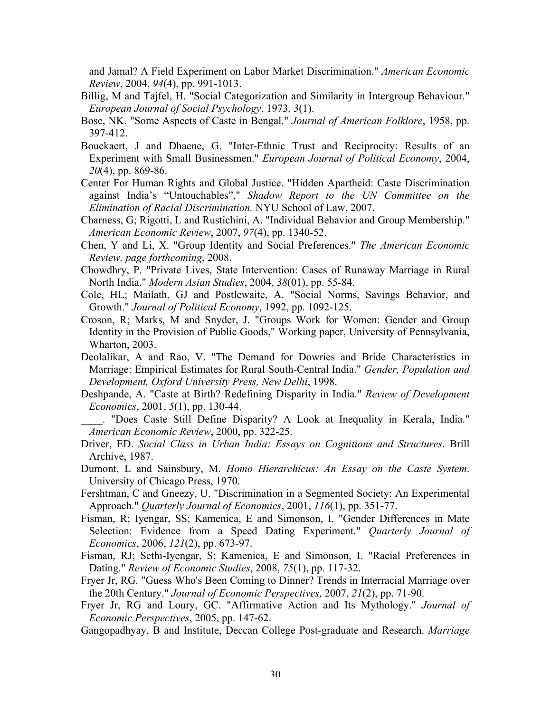and Jamal? A Field Experiment on Labor Market Discrimination." *American Economic Review*, 2004, *94*(4), pp. 991-1013.

- Billig, M and Tajfel, H. "Social Categorization and Similarity in Intergroup Behaviour." *European Journal of Social Psychology*, 1973, *3*(1).
- Bose, NK. "Some Aspects of Caste in Bengal." *Journal of American Folklore*, 1958, pp. 397-412.
- Bouckaert, J and Dhaene, G. "Inter-Ethnic Trust and Reciprocity: Results of an Experiment with Small Businessmen." *European Journal of Political Economy*, 2004, *20*(4), pp. 869-86.
- Center For Human Rights and Global Justice. "Hidden Apartheid: Caste Discrimination against India's "Untouchables"," *Shadow Report to the UN Committee on the Elimination of Racial Discrimination.* NYU School of Law, 2007.
- Charness, G; Rigotti, L and Rustichini, A. "Individual Behavior and Group Membership." *American Economic Review*, 2007, *97*(4), pp. 1340-52.
- Chen, Y and Li, X. "Group Identity and Social Preferences." *The American Economic Review, page forthcoming*, 2008.
- Chowdhry, P. "Private Lives, State Intervention: Cases of Runaway Marriage in Rural North India." *Modern Asian Studies*, 2004, *38*(01), pp. 55-84.
- Cole, HL; Mailath, GJ and Postlewaite, A. "Social Norms, Savings Behavior, and Growth." *Journal of Political Economy*, 1992, pp. 1092-125.
- Croson, R; Marks, M and Snyder, J. "Groups Work for Women: Gender and Group Identity in the Provision of Public Goods," Working paper, University of Pennsylvania, Wharton, 2003.
- Deolalikar, A and Rao, V. "The Demand for Dowries and Bride Characteristics in Marriage: Empirical Estimates for Rural South-Central India." *Gender, Population and Development, Oxford University Press, New Delhi*, 1998.
- Deshpande, A. "Caste at Birth? Redefining Disparity in India." *Review of Development Economics*, 2001, *5*(1), pp. 130-44.

\_\_\_\_. "Does Caste Still Define Disparity? A Look at Inequality in Kerala, India." *American Economic Review*, 2000, pp. 322-25.

- Driver, ED. *Social Class in Urban India: Essays on Cognitions and Structures*. Brill Archive, 1987.
- Dumont, L and Sainsbury, M. *Homo Hierarchicus: An Essay on the Caste System*. University of Chicago Press, 1970.
- Fershtman, C and Gneezy, U. "Discrimination in a Segmented Society: An Experimental Approach." *Quarterly Journal of Economics*, 2001, *116*(1), pp. 351-77.
- Fisman, R; Iyengar, SS; Kamenica, E and Simonson, I. "Gender Differences in Mate Selection: Evidence from a Speed Dating Experiment." *Quarterly Journal of Economics*, 2006, *121*(2), pp. 673-97.
- Fisman, RJ; Sethi-Iyengar, S; Kamenica, E and Simonson, I. "Racial Preferences in Dating." *Review of Economic Studies*, 2008, *75*(1), pp. 117-32.
- Fryer Jr, RG. "Guess Who's Been Coming to Dinner? Trends in Interracial Marriage over the 20th Century." *Journal of Economic Perspectives*, 2007, *21*(2), pp. 71-90.
- Fryer Jr, RG and Loury, GC. "Affirmative Action and Its Mythology." *Journal of Economic Perspectives*, 2005, pp. 147-62.
- Gangopadhyay, B and Institute, Deccan College Post-graduate and Research. *Marriage*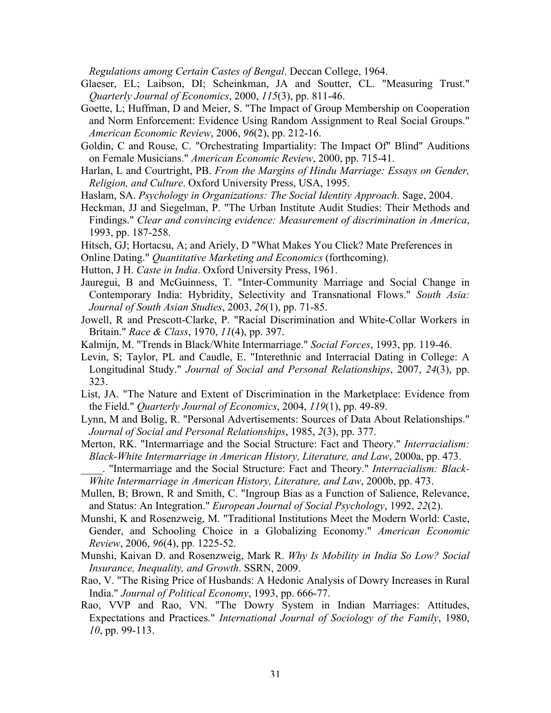*Regulations among Certain Castes of Bengal*. Deccan College, 1964.

- Glaeser, EL; Laibson, DI; Scheinkman, JA and Soutter, CL. "Measuring Trust." *Quarterly Journal of Economics*, 2000, *115*(3), pp. 811-46.
- Goette, L; Huffman, D and Meier, S. "The Impact of Group Membership on Cooperation and Norm Enforcement: Evidence Using Random Assignment to Real Social Groups." *American Economic Review*, 2006, *96*(2), pp. 212-16.
- Goldin, C and Rouse, C. "Orchestrating Impartiality: The Impact Of" Blind" Auditions on Female Musicians." *American Economic Review*, 2000, pp. 715-41.
- Harlan, L and Courtright, PB. *From the Margins of Hindu Marriage: Essays on Gender, Religion, and Culture*. Oxford University Press, USA, 1995.
- Haslam, SA. *Psychology in Organizations: The Social Identity Approach*. Sage, 2004.
- Heckman, JJ and Siegelman, P. "The Urban Institute Audit Studies: Their Methods and Findings." *Clear and convincing evidence: Measurement of discrimination in America*, 1993, pp. 187-258.
- Hitsch, GJ; Hortacsu, A; and Ariely, D "What Makes You Click? Mate Preferences in
- Online Dating." *Quantitative Marketing and Economics* (forthcoming).
- Hutton, J H. *Caste in India*. Oxford University Press, 1961.
- Jauregui, B and McGuinness, T. "Inter-Community Marriage and Social Change in Contemporary India: Hybridity, Selectivity and Transnational Flows." *South Asia: Journal of South Asian Studies*, 2003, *26*(1), pp. 71-85.
- Jowell, R and Prescott-Clarke, P. "Racial Discrimination and White-Collar Workers in Britain." *Race & Class*, 1970, *11*(4), pp. 397.
- Kalmijn, M. "Trends in Black/White Intermarriage." *Social Forces*, 1993, pp. 119-46.
- Levin, S; Taylor, PL and Caudle, E. "Interethnic and Interracial Dating in College: A Longitudinal Study." *Journal of Social and Personal Relationships*, 2007, *24*(3), pp. 323.
- List, JA. "The Nature and Extent of Discrimination in the Marketplace: Evidence from the Field." *Quarterly Journal of Economics*, 2004, *119*(1), pp. 49-89.
- Lynn, M and Bolig, R. "Personal Advertisements: Sources of Data About Relationships." *Journal of Social and Personal Relationships*, 1985, *2*(3), pp. 377.
- Merton, RK. "Intermarriage and the Social Structure: Fact and Theory." *Interracialism: Black-White Intermarriage in American History, Literature, and Law*, 2000a, pp. 473.
- \_\_\_\_. "Intermarriage and the Social Structure: Fact and Theory." *Interracialism: Black-White Intermarriage in American History, Literature, and Law*, 2000b, pp. 473.
- Mullen, B; Brown, R and Smith, C. "Ingroup Bias as a Function of Salience, Relevance, and Status: An Integration." *European Journal of Social Psychology*, 1992, *22*(2).
- Munshi, K and Rosenzweig, M. "Traditional Institutions Meet the Modern World: Caste, Gender, and Schooling Choice in a Globalizing Economy." *American Economic Review*, 2006, *96*(4), pp. 1225-52.
- Munshi, Kaivan D. and Rosenzweig, Mark R. *Why Is Mobility in India So Low? Social Insurance, Inequality, and Growth*. SSRN, 2009.
- Rao, V. "The Rising Price of Husbands: A Hedonic Analysis of Dowry Increases in Rural India." *Journal of Political Economy*, 1993, pp. 666-77.
- Rao, VVP and Rao, VN. "The Dowry System in Indian Marriages: Attitudes, Expectations and Practices." *International Journal of Sociology of the Family*, 1980, *10*, pp. 99-113.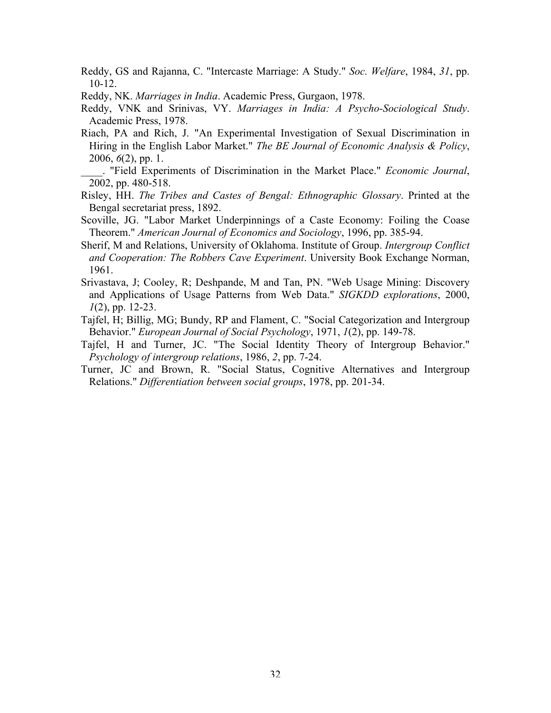Reddy, GS and Rajanna, C. "Intercaste Marriage: A Study." *Soc. Welfare*, 1984, *31*, pp. 10-12.

Reddy, NK. *Marriages in India*. Academic Press, Gurgaon, 1978.

- Reddy, VNK and Srinivas, VY. *Marriages in India: A Psycho-Sociological Study*. Academic Press, 1978.
- Riach, PA and Rich, J. "An Experimental Investigation of Sexual Discrimination in Hiring in the English Labor Market." *The BE Journal of Economic Analysis & Policy*, 2006, *6*(2), pp. 1.
- \_\_\_\_. "Field Experiments of Discrimination in the Market Place." *Economic Journal*, 2002, pp. 480-518.
- Risley, HH. *The Tribes and Castes of Bengal: Ethnographic Glossary*. Printed at the Bengal secretariat press, 1892.
- Scoville, JG. "Labor Market Underpinnings of a Caste Economy: Foiling the Coase Theorem." *American Journal of Economics and Sociology*, 1996, pp. 385-94.
- Sherif, M and Relations, University of Oklahoma. Institute of Group. *Intergroup Conflict and Cooperation: The Robbers Cave Experiment*. University Book Exchange Norman, 1961.
- Srivastava, J; Cooley, R; Deshpande, M and Tan, PN. "Web Usage Mining: Discovery and Applications of Usage Patterns from Web Data." *SIGKDD explorations*, 2000, *1*(2), pp. 12-23.
- Tajfel, H; Billig, MG; Bundy, RP and Flament, C. "Social Categorization and Intergroup Behavior." *European Journal of Social Psychology*, 1971, *1*(2), pp. 149-78.
- Tajfel, H and Turner, JC. "The Social Identity Theory of Intergroup Behavior." *Psychology of intergroup relations*, 1986, *2*, pp. 7-24.
- Turner, JC and Brown, R. "Social Status, Cognitive Alternatives and Intergroup Relations." *Differentiation between social groups*, 1978, pp. 201-34.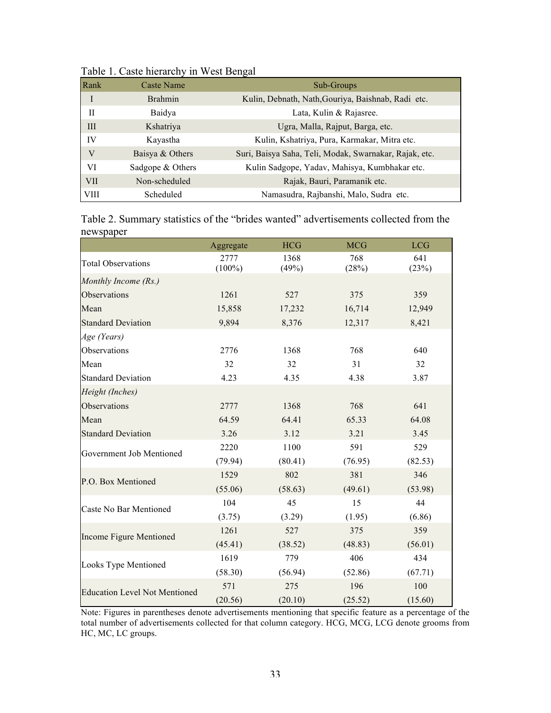| Rank         | Caste Name       | Sub-Groups                                             |
|--------------|------------------|--------------------------------------------------------|
| I            | <b>Brahmin</b>   | Kulin, Debnath, Nath, Gouriya, Baishnab, Radi etc.     |
| $\mathbf{I}$ | Baidya           | Lata, Kulin & Rajasree.                                |
| III          | Kshatriya        | Ugra, Malla, Rajput, Barga, etc.                       |
| IV           | Kayastha         | Kulin, Kshatriya, Pura, Karmakar, Mitra etc.           |
| V            | Baisya & Others  | Suri, Baisya Saha, Teli, Modak, Swarnakar, Rajak, etc. |
| VI           | Sadgope & Others | Kulin Sadgope, Yadav, Mahisya, Kumbhakar etc.          |
| <b>VII</b>   | Non-scheduled    | Rajak, Bauri, Paramanik etc.                           |
| VIII         | Scheduled        | Namasudra, Rajbanshi, Malo, Sudra etc.                 |

Table 1. Caste hierarchy in West Bengal

Table 2. Summary statistics of the "brides wanted" advertisements collected from the newspaper

| $\bullet$ , , , , , , , , , , ,      |                   |               |              |              |
|--------------------------------------|-------------------|---------------|--------------|--------------|
|                                      | Aggregate         | <b>HCG</b>    | <b>MCG</b>   | <b>LCG</b>   |
| <b>Total Observations</b>            | 2777<br>$(100\%)$ | 1368<br>(49%) | 768<br>(28%) | 641<br>(23%) |
| Monthly Income (Rs.)                 |                   |               |              |              |
| Observations                         | 1261              | 527           | 375          | 359          |
| Mean                                 | 15,858            | 17,232        | 16,714       | 12,949       |
| <b>Standard Deviation</b>            | 9,894             | 8,376         | 12,317       | 8,421        |
| Age (Years)                          |                   |               |              |              |
| Observations                         | 2776              | 1368          | 768          | 640          |
| Mean                                 | 32                | 32            | 31           | 32           |
| <b>Standard Deviation</b>            | 4.23              | 4.35          | 4.38         | 3.87         |
| Height (Inches)                      |                   |               |              |              |
| Observations                         | 2777              | 1368          | 768          | 641          |
| Mean                                 | 64.59             | 64.41         | 65.33        | 64.08        |
| <b>Standard Deviation</b>            | 3.26              | 3.12          | 3.21         | 3.45         |
| Government Job Mentioned             | 2220              | 1100          | 591          | 529          |
|                                      | (79.94)           | (80.41)       | (76.95)      | (82.53)      |
| P.O. Box Mentioned                   | 1529              | 802           | 381          | 346          |
|                                      | (55.06)           | (58.63)       | (49.61)      | (53.98)      |
| Caste No Bar Mentioned               | 104               | 45            | 15           | 44           |
|                                      | (3.75)            | (3.29)        | (1.95)       | (6.86)       |
|                                      | 1261              | 527           | 375          | 359          |
| <b>Income Figure Mentioned</b>       | (45.41)           | (38.52)       | (48.83)      | (56.01)      |
|                                      | 1619              | 779           | 406          | 434          |
| <b>Looks Type Mentioned</b>          | (58.30)           | (56.94)       | (52.86)      | (67.71)      |
| <b>Education Level Not Mentioned</b> | 571               | 275           | 196          | 100          |
|                                      | (20.56)           | (20.10)       | (25.52)      | (15.60)      |

Note: Figures in parentheses denote advertisements mentioning that specific feature as a percentage of the total number of advertisements collected for that column category. HCG, MCG, LCG denote grooms from HC, MC, LC groups.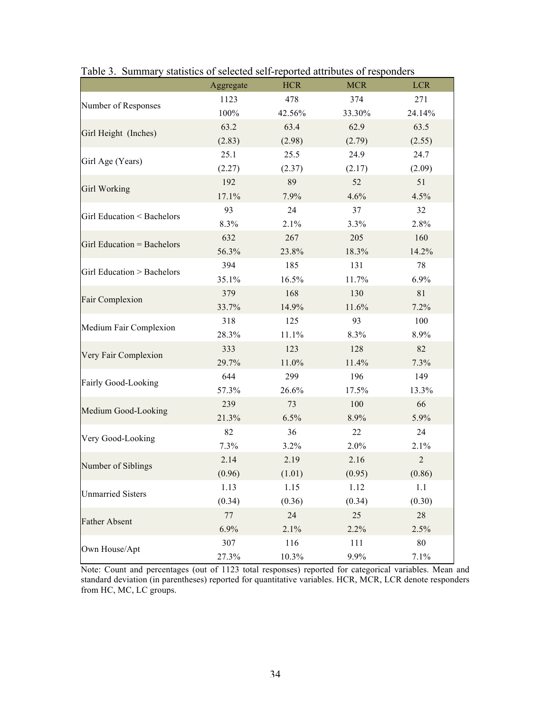|                            | Aggregate | <b>HCR</b> | <b>MCR</b> | <b>LCR</b>     |
|----------------------------|-----------|------------|------------|----------------|
| Number of Responses        | 1123      | 478        | 374        | 271            |
|                            | 100%      | 42.56%     | 33.30%     | 24.14%         |
| Girl Height (Inches)       | 63.2      | 63.4       | 62.9       | 63.5           |
|                            | (2.83)    | (2.98)     | (2.79)     | (2.55)         |
| Girl Age (Years)           | 25.1      | 25.5       | 24.9       | 24.7           |
|                            | (2.27)    | (2.37)     | (2.17)     | (2.09)         |
| <b>Girl Working</b>        | 192       | 89         | 52         | 51             |
|                            | 17.1%     | 7.9%       | 4.6%       | 4.5%           |
| Girl Education < Bachelors | 93        | 24         | 37         | 32             |
|                            | 8.3%      | 2.1%       | 3.3%       | 2.8%           |
| Girl Education = Bachelors | 632       | 267        | 205        | 160            |
|                            | 56.3%     | 23.8%      | 18.3%      | 14.2%          |
| Girl Education > Bachelors | 394       | 185        | 131        | 78             |
|                            | 35.1%     | 16.5%      | 11.7%      | 6.9%           |
| <b>Fair Complexion</b>     | 379       | 168        | 130        | 81             |
|                            | 33.7%     | 14.9%      | 11.6%      | 7.2%           |
| Medium Fair Complexion     | 318       | 125        | 93         | 100            |
|                            | 28.3%     | 11.1%      | 8.3%       | 8.9%           |
| Very Fair Complexion       | 333       | 123        | 128        | 82             |
|                            | 29.7%     | 11.0%      | 11.4%      | 7.3%           |
| Fairly Good-Looking        | 644       | 299        | 196        | 149            |
|                            | 57.3%     | 26.6%      | 17.5%      | 13.3%          |
|                            | 239       | 73         | 100        | 66             |
| Medium Good-Looking        | 21.3%     | 6.5%       | 8.9%       | 5.9%           |
| Very Good-Looking          | 82        | 36         | 22         | 24             |
|                            | 7.3%      | 3.2%       | $2.0\%$    | 2.1%           |
| Number of Siblings         | 2.14      | 2.19       | 2.16       | $\overline{2}$ |
|                            | (0.96)    | (1.01)     | (0.95)     | (0.86)         |
| <b>Unmarried Sisters</b>   | 1.13      | 1.15       | 1.12       | 1.1            |
|                            | (0.34)    | (0.36)     | (0.34)     | (0.30)         |
| <b>Father Absent</b>       | 77        | 24         | 25         | 28             |
|                            | 6.9%      | 2.1%       | 2.2%       | 2.5%           |
|                            | 307       | 116        | 111        | 80             |
| Own House/Apt              | 27.3%     | 10.3%      | 9.9%       | 7.1%           |

Table 3. Summary statistics of selected self-reported attributes of responders

Note: Count and percentages (out of 1123 total responses) reported for categorical variables. Mean and standard deviation (in parentheses) reported for quantitative variables. HCR, MCR, LCR denote responders from HC, MC, LC groups.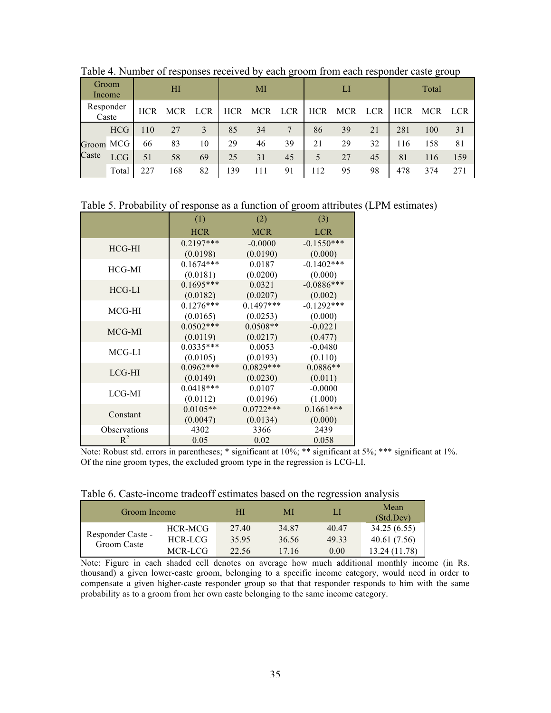|                    | Groom<br>Income    |            | HI         |            |            | MI         |            |            | LI         |            |            | Total      |            |
|--------------------|--------------------|------------|------------|------------|------------|------------|------------|------------|------------|------------|------------|------------|------------|
|                    | Responder<br>Caste | <b>HCR</b> | <b>MCR</b> | <b>LCR</b> | <b>HCR</b> | <b>MCR</b> | <b>LCR</b> | <b>HCR</b> | <b>MCR</b> | <b>LCR</b> | <b>HCR</b> | <b>MCR</b> | <b>LCR</b> |
| Groom MCG<br>Caste | <b>HCG</b>         | 110        | 27         | 3          | 85         | 34         | 7          | 86         | 39         | 21         | 281        | 100        | 31         |
|                    |                    | 66         | 83         | 10         | 29         | 46         | 39         | 21         | 29         | 32         | 116        | 158        | 81         |
|                    | <b>LCG</b>         | 51         | 58         | 69         | 25         | 31         | 45         | 5          | 27         | 45         | 81         | 116        | 159        |
|                    | Total              | 227        | 168        | 82         | 139        | 111        | 91         | 112        | 95         | 98         | 478        | 374        | 271        |

Table 4. Number of responses received by each groom from each responder caste group

| Table 5. Probability of response as a function of groom attributes (LPM estimates) |  |  |
|------------------------------------------------------------------------------------|--|--|
|                                                                                    |  |  |

|              | (1)         | (2)         | (3)           |
|--------------|-------------|-------------|---------------|
|              | <b>HCR</b>  | <b>MCR</b>  | <b>LCR</b>    |
|              | $0.2197***$ | $-0.0000$   | $-0.1550***$  |
| HCG-HI       | (0.0198)    | (0.0190)    | (0.000)       |
| HCG-MI       | $0.1674***$ | 0.0187      | $-0.1402$ *** |
|              | (0.0181)    | (0.0200)    | (0.000)       |
| HCG-LI       | $0.1695***$ | 0.0321      | $-0.0886***$  |
|              | (0.0182)    | (0.0207)    | (0.002)       |
| MCG-HI       | $0.1276***$ | $0.1497***$ | $-0.1292***$  |
|              | (0.0165)    | (0.0253)    | (0.000)       |
| MCG-MI       | $0.0502***$ | $0.0508**$  | $-0.0221$     |
|              | (0.0119)    | (0.0217)    | (0.477)       |
| MCG-LI       | $0.0335***$ | 0.0053      | $-0.0480$     |
|              | (0.0105)    | (0.0193)    | (0.110)       |
| LCG-HI       | $0.0962***$ | $0.0829***$ | $0.0886**$    |
|              | (0.0149)    | (0.0230)    | (0.011)       |
| LCG-MI       | $0.0418***$ | 0.0107      | $-0.0000$     |
|              | (0.0112)    | (0.0196)    | (1.000)       |
| Constant     | $0.0105**$  | $0.0722***$ | $0.1661***$   |
|              | (0.0047)    | (0.0134)    | (0.000)       |
| Observations | 4302        | 3366        | 2439          |
| $R^2$        | 0.05        | 0.02        | 0.058         |

Note: Robust std. errors in parentheses; \* significant at 10%; \*\* significant at 5%; \*\*\* significant at 1%. Of the nine groom types, the excluded groom type in the regression is LCG-LI.

| Table 6. Caste-income tradeoff estimates based on the regression analysis |  |  |  |
|---------------------------------------------------------------------------|--|--|--|
|                                                                           |  |  |  |

| Groom Income                     | н       | MI    | IJ    | Mean<br>(Std.Dev) |               |
|----------------------------------|---------|-------|-------|-------------------|---------------|
|                                  | HCR-MCG | 27.40 | 34.87 | 40.47             | 34.25 (6.55)  |
| Responder Caste -<br>Groom Caste | HCR-LCG | 3595  | 36.56 | 49.33             | 40.61 (7.56)  |
|                                  | MCR-LCG | 22.56 | 17 16 | 0.00              | 13.24 (11.78) |

Note: Figure in each shaded cell denotes on average how much additional monthly income (in Rs. thousand) a given lower-caste groom, belonging to a specific income category, would need in order to compensate a given higher-caste responder group so that that responder responds to him with the same probability as to a groom from her own caste belonging to the same income category.